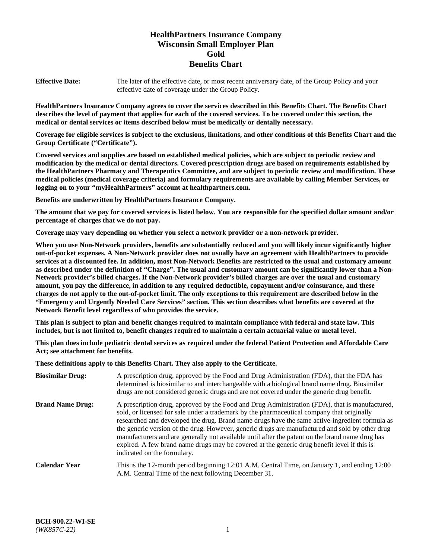# **HealthPartners Insurance Company Wisconsin Small Employer Plan Gold Benefits Chart**

**Effective Date:** The later of the effective date, or most recent anniversary date, of the Group Policy and your effective date of coverage under the Group Policy.

**HealthPartners Insurance Company agrees to cover the services described in this Benefits Chart. The Benefits Chart describes the level of payment that applies for each of the covered services. To be covered under this section, the medical or dental services or items described below must be medically or dentally necessary.**

**Coverage for eligible services is subject to the exclusions, limitations, and other conditions of this Benefits Chart and the Group Certificate ("Certificate").**

**Covered services and supplies are based on established medical policies, which are subject to periodic review and modification by the medical or dental directors. Covered prescription drugs are based on requirements established by the HealthPartners Pharmacy and Therapeutics Committee, and are subject to periodic review and modification. These medical policies (medical coverage criteria) and formulary requirements are available by calling Member Services, or logging on to your "myHealthPartners" account at [healthpartners.com.](https://www.healthpartners.com/hp/index.html)** 

**Benefits are underwritten by HealthPartners Insurance Company.**

**The amount that we pay for covered services is listed below. You are responsible for the specified dollar amount and/or percentage of charges that we do not pay.**

**Coverage may vary depending on whether you select a network provider or a non-network provider.**

**When you use Non-Network providers, benefits are substantially reduced and you will likely incur significantly higher out-of-pocket expenses. A Non-Network provider does not usually have an agreement with HealthPartners to provide services at a discounted fee. In addition, most Non-Network Benefits are restricted to the usual and customary amount as described under the definition of "Charge". The usual and customary amount can be significantly lower than a Non-Network provider's billed charges. If the Non-Network provider's billed charges are over the usual and customary amount, you pay the difference, in addition to any required deductible, copayment and/or coinsurance, and these charges do not apply to the out-of-pocket limit. The only exceptions to this requirement are described below in the "Emergency and Urgently Needed Care Services" section. This section describes what benefits are covered at the Network Benefit level regardless of who provides the service.**

**This plan is subject to plan and benefit changes required to maintain compliance with federal and state law. This includes, but is not limited to, benefit changes required to maintain a certain actuarial value or metal level.**

**This plan does include pediatric dental services as required under the federal Patient Protection and Affordable Care Act; see attachment for benefits.**

**These definitions apply to this Benefits Chart. They also apply to the Certificate.**

| <b>Biosimilar Drug:</b> | A prescription drug, approved by the Food and Drug Administration (FDA), that the FDA has<br>determined is biosimilar to and interchangeable with a biological brand name drug. Biosimilar<br>drugs are not considered generic drugs and are not covered under the generic drug benefit.                                                                                                                                                                                                                                                                                                                                           |
|-------------------------|------------------------------------------------------------------------------------------------------------------------------------------------------------------------------------------------------------------------------------------------------------------------------------------------------------------------------------------------------------------------------------------------------------------------------------------------------------------------------------------------------------------------------------------------------------------------------------------------------------------------------------|
| <b>Brand Name Drug:</b> | A prescription drug, approved by the Food and Drug Administration (FDA), that is manufactured,<br>sold, or licensed for sale under a trademark by the pharmaceutical company that originally<br>researched and developed the drug. Brand name drugs have the same active-ingredient formula as<br>the generic version of the drug. However, generic drugs are manufactured and sold by other drug<br>manufacturers and are generally not available until after the patent on the brand name drug has<br>expired. A few brand name drugs may be covered at the generic drug benefit level if this is<br>indicated on the formulary. |
| <b>Calendar Year</b>    | This is the 12-month period beginning 12:01 A.M. Central Time, on January 1, and ending 12:00<br>A.M. Central Time of the next following December 31.                                                                                                                                                                                                                                                                                                                                                                                                                                                                              |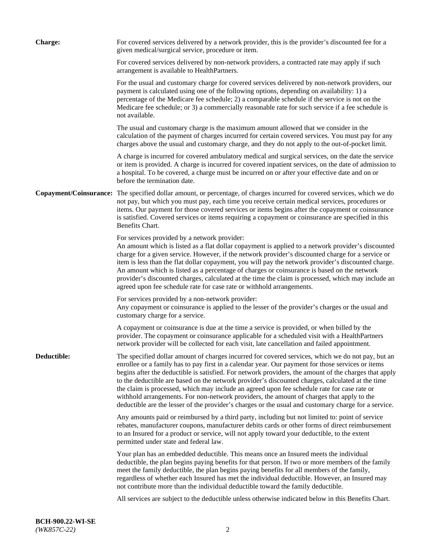| <b>Charge:</b> | For covered services delivered by a network provider, this is the provider's discounted fee for a<br>given medical/surgical service, procedure or item.                                                                                                                                                                                                                                                                                                                                                                                                                                                                                                                                                                 |
|----------------|-------------------------------------------------------------------------------------------------------------------------------------------------------------------------------------------------------------------------------------------------------------------------------------------------------------------------------------------------------------------------------------------------------------------------------------------------------------------------------------------------------------------------------------------------------------------------------------------------------------------------------------------------------------------------------------------------------------------------|
|                | For covered services delivered by non-network providers, a contracted rate may apply if such<br>arrangement is available to HealthPartners.                                                                                                                                                                                                                                                                                                                                                                                                                                                                                                                                                                             |
|                | For the usual and customary charge for covered services delivered by non-network providers, our<br>payment is calculated using one of the following options, depending on availability: 1) a<br>percentage of the Medicare fee schedule; 2) a comparable schedule if the service is not on the<br>Medicare fee schedule; or 3) a commercially reasonable rate for such service if a fee schedule is<br>not available.                                                                                                                                                                                                                                                                                                   |
|                | The usual and customary charge is the maximum amount allowed that we consider in the<br>calculation of the payment of charges incurred for certain covered services. You must pay for any<br>charges above the usual and customary charge, and they do not apply to the out-of-pocket limit.                                                                                                                                                                                                                                                                                                                                                                                                                            |
|                | A charge is incurred for covered ambulatory medical and surgical services, on the date the service<br>or item is provided. A charge is incurred for covered inpatient services, on the date of admission to<br>a hospital. To be covered, a charge must be incurred on or after your effective date and on or<br>before the termination date.                                                                                                                                                                                                                                                                                                                                                                           |
|                | Copayment/Coinsurance: The specified dollar amount, or percentage, of charges incurred for covered services, which we do<br>not pay, but which you must pay, each time you receive certain medical services, procedures or<br>items. Our payment for those covered services or items begins after the copayment or coinsurance<br>is satisfied. Covered services or items requiring a copayment or coinsurance are specified in this<br>Benefits Chart.                                                                                                                                                                                                                                                                 |
|                | For services provided by a network provider:<br>An amount which is listed as a flat dollar copayment is applied to a network provider's discounted<br>charge for a given service. However, if the network provider's discounted charge for a service or<br>item is less than the flat dollar copayment, you will pay the network provider's discounted charge.<br>An amount which is listed as a percentage of charges or coinsurance is based on the network<br>provider's discounted charges, calculated at the time the claim is processed, which may include an<br>agreed upon fee schedule rate for case rate or withhold arrangements.                                                                            |
|                | For services provided by a non-network provider:<br>Any copayment or coinsurance is applied to the lesser of the provider's charges or the usual and<br>customary charge for a service.                                                                                                                                                                                                                                                                                                                                                                                                                                                                                                                                 |
|                | A copayment or coinsurance is due at the time a service is provided, or when billed by the<br>provider. The copayment or coinsurance applicable for a scheduled visit with a HealthPartners<br>network provider will be collected for each visit, late cancellation and failed appointment.                                                                                                                                                                                                                                                                                                                                                                                                                             |
| Deductible:    | The specified dollar amount of charges incurred for covered services, which we do not pay, but an<br>enrollee or a family has to pay first in a calendar year. Our payment for those services or items<br>begins after the deductible is satisfied. For network providers, the amount of the charges that apply<br>to the deductible are based on the network provider's discounted charges, calculated at the time<br>the claim is processed, which may include an agreed upon fee schedule rate for case rate or<br>withhold arrangements. For non-network providers, the amount of charges that apply to the<br>deductible are the lesser of the provider's charges or the usual and customary charge for a service. |
|                | Any amounts paid or reimbursed by a third party, including but not limited to: point of service<br>rebates, manufacturer coupons, manufacturer debits cards or other forms of direct reimbursement<br>to an Insured for a product or service, will not apply toward your deductible, to the extent<br>permitted under state and federal law.                                                                                                                                                                                                                                                                                                                                                                            |
|                | Your plan has an embedded deductible. This means once an Insured meets the individual<br>deductible, the plan begins paying benefits for that person. If two or more members of the family<br>meet the family deductible, the plan begins paying benefits for all members of the family,<br>regardless of whether each Insured has met the individual deductible. However, an Insured may<br>not contribute more than the individual deductible toward the family deductible.                                                                                                                                                                                                                                           |
|                | All services are subject to the deductible unless otherwise indicated below in this Benefits Chart.                                                                                                                                                                                                                                                                                                                                                                                                                                                                                                                                                                                                                     |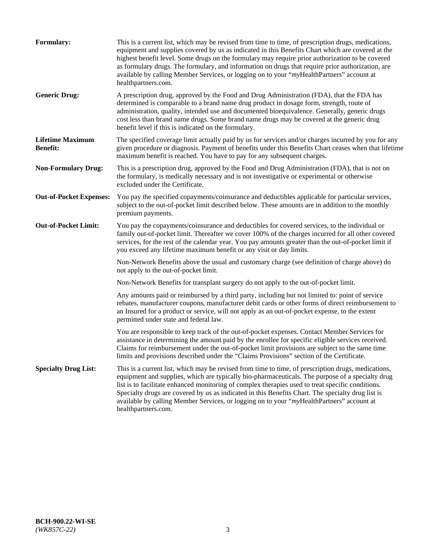| <b>Formulary:</b>                          | This is a current list, which may be revised from time to time, of prescription drugs, medications,<br>equipment and supplies covered by us as indicated in this Benefits Chart which are covered at the<br>highest benefit level. Some drugs on the formulary may require prior authorization to be covered<br>as formulary drugs. The formulary, and information on drugs that require prior authorization, are<br>available by calling Member Services, or logging on to your "myHealthPartners" account at<br>healthpartners.com. |
|--------------------------------------------|---------------------------------------------------------------------------------------------------------------------------------------------------------------------------------------------------------------------------------------------------------------------------------------------------------------------------------------------------------------------------------------------------------------------------------------------------------------------------------------------------------------------------------------|
| <b>Generic Drug:</b>                       | A prescription drug, approved by the Food and Drug Administration (FDA), that the FDA has<br>determined is comparable to a brand name drug product in dosage form, strength, route of<br>administration, quality, intended use and documented bioequivalence. Generally, generic drugs<br>cost less than brand name drugs. Some brand name drugs may be covered at the generic drug<br>benefit level if this is indicated on the formulary.                                                                                           |
| <b>Lifetime Maximum</b><br><b>Benefit:</b> | The specified coverage limit actually paid by us for services and/or charges incurred by you for any<br>given procedure or diagnosis. Payment of benefits under this Benefits Chart ceases when that lifetime<br>maximum benefit is reached. You have to pay for any subsequent charges.                                                                                                                                                                                                                                              |
| <b>Non-Formulary Drug:</b>                 | This is a prescription drug, approved by the Food and Drug Administration (FDA), that is not on<br>the formulary, is medically necessary and is not investigative or experimental or otherwise<br>excluded under the Certificate.                                                                                                                                                                                                                                                                                                     |
| <b>Out-of-Pocket Expenses:</b>             | You pay the specified copayments/coinsurance and deductibles applicable for particular services,<br>subject to the out-of-pocket limit described below. These amounts are in addition to the monthly<br>premium payments.                                                                                                                                                                                                                                                                                                             |
| <b>Out-of-Pocket Limit:</b>                | You pay the copayments/coinsurance and deductibles for covered services, to the individual or<br>family out-of-pocket limit. Thereafter we cover 100% of the charges incurred for all other covered<br>services, for the rest of the calendar year. You pay amounts greater than the out-of-pocket limit if<br>you exceed any lifetime maximum benefit or any visit or day limits.                                                                                                                                                    |
|                                            | Non-Network Benefits above the usual and customary charge (see definition of charge above) do<br>not apply to the out-of-pocket limit.                                                                                                                                                                                                                                                                                                                                                                                                |
|                                            | Non-Network Benefits for transplant surgery do not apply to the out-of-pocket limit.                                                                                                                                                                                                                                                                                                                                                                                                                                                  |
|                                            | Any amounts paid or reimbursed by a third party, including but not limited to: point of service<br>rebates, manufacturer coupons, manufacturer debit cards or other forms of direct reimbursement to<br>an Insured for a product or service, will not apply as an out-of-pocket expense, to the extent<br>permitted under state and federal law.                                                                                                                                                                                      |
|                                            | You are responsible to keep track of the out-of-pocket expenses. Contact Member Services for<br>assistance in determining the amount paid by the enrollee for specific eligible services received.<br>Claims for reimbursement under the out-of-pocket limit provisions are subject to the same time<br>limits and provisions described under the "Claims Provisions" section of the Certificate.                                                                                                                                     |
| <b>Specialty Drug List:</b>                | This is a current list, which may be revised from time to time, of prescription drugs, medications,<br>equipment and supplies, which are typically bio-pharmaceuticals. The purpose of a specialty drug<br>list is to facilitate enhanced monitoring of complex therapies used to treat specific conditions.<br>Specialty drugs are covered by us as indicated in this Benefits Chart. The specialty drug list is<br>available by calling Member Services, or logging on to your "myHealthPartners" account at<br>healthpartners.com. |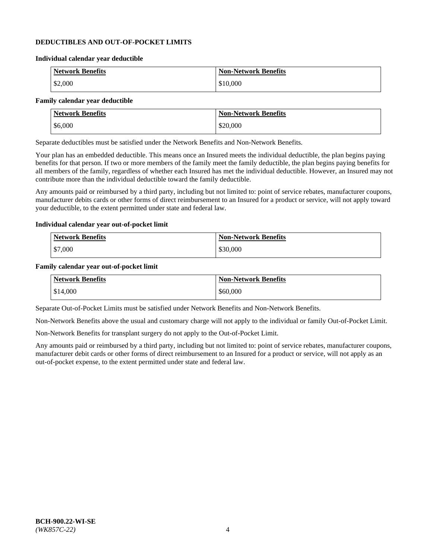#### **DEDUCTIBLES AND OUT-OF-POCKET LIMITS**

#### **Individual calendar year deductible**

| <b>Network Benefits</b> | <b>Non-Network Benefits</b> |
|-------------------------|-----------------------------|
| \$2,000                 | \$10,000                    |

#### **Family calendar year deductible**

| <b>Network Benefits</b> | <b>Non-Network Benefits</b> |
|-------------------------|-----------------------------|
| \$6,000                 | \$20,000                    |

Separate deductibles must be satisfied under the Network Benefits and Non-Network Benefits.

Your plan has an embedded deductible. This means once an Insured meets the individual deductible, the plan begins paying benefits for that person. If two or more members of the family meet the family deductible, the plan begins paying benefits for all members of the family, regardless of whether each Insured has met the individual deductible. However, an Insured may not contribute more than the individual deductible toward the family deductible.

Any amounts paid or reimbursed by a third party, including but not limited to: point of service rebates, manufacturer coupons, manufacturer debits cards or other forms of direct reimbursement to an Insured for a product or service, will not apply toward your deductible, to the extent permitted under state and federal law.

#### **Individual calendar year out-of-pocket limit**

| Network Benefits | <b>Non-Network Benefits</b> |
|------------------|-----------------------------|
| \$7,000          | \$30,000                    |

#### **Family calendar year out-of-pocket limit**

| <b>Network Benefits</b> | <b>Non-Network Benefits</b> |
|-------------------------|-----------------------------|
| \$14,000                | \$60,000                    |

Separate Out-of-Pocket Limits must be satisfied under Network Benefits and Non-Network Benefits.

Non-Network Benefits above the usual and customary charge will not apply to the individual or family Out-of-Pocket Limit.

Non-Network Benefits for transplant surgery do not apply to the Out-of-Pocket Limit.

Any amounts paid or reimbursed by a third party, including but not limited to: point of service rebates, manufacturer coupons, manufacturer debit cards or other forms of direct reimbursement to an Insured for a product or service, will not apply as an out-of-pocket expense, to the extent permitted under state and federal law.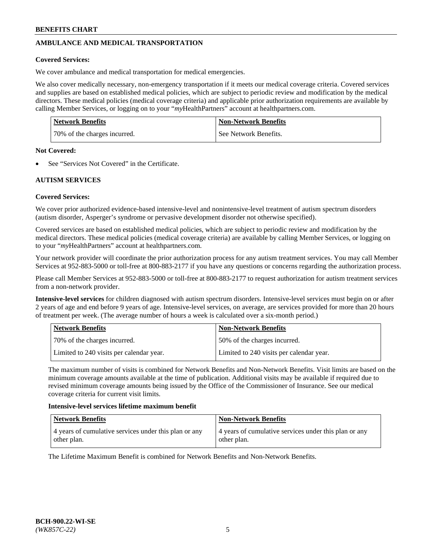# **AMBULANCE AND MEDICAL TRANSPORTATION**

#### **Covered Services:**

We cover ambulance and medical transportation for medical emergencies.

We also cover medically necessary, non-emergency transportation if it meets our medical coverage criteria. Covered services and supplies are based on established medical policies, which are subject to periodic review and modification by the medical directors. These medical policies (medical coverage criteria) and applicable prior authorization requirements are available by calling Member Services, or logging on to your "*my*HealthPartners" account a[t healthpartners.com.](https://www.healthpartners.com/hp/index.html)

| <b>Network Benefits</b>      | <b>Non-Network Benefits</b> |
|------------------------------|-----------------------------|
| 70% of the charges incurred. | See Network Benefits.       |

#### **Not Covered:**

See "Services Not Covered" in the Certificate.

## **AUTISM SERVICES**

## **Covered Services:**

We cover prior authorized evidence-based intensive-level and nonintensive-level treatment of autism spectrum disorders (autism disorder, Asperger's syndrome or pervasive development disorder not otherwise specified).

Covered services are based on established medical policies, which are subject to periodic review and modification by the medical directors. These medical policies (medical coverage criteria) are available by calling Member Services, or logging on to your "*my*HealthPartners" account at [healthpartners.com.](https://www.healthpartners.com/hp/index.html)

Your network provider will coordinate the prior authorization process for any autism treatment services. You may call Member Services at 952-883-5000 or toll-free at 800-883-2177 if you have any questions or concerns regarding the authorization process.

Please call Member Services at 952-883-5000 or toll-free at 800-883-2177 to request authorization for autism treatment services from a non-network provider.

**Intensive-level services** for children diagnosed with autism spectrum disorders. Intensive-level services must begin on or after 2 years of age and end before 9 years of age. Intensive-level services, on average, are services provided for more than 20 hours of treatment per week. (The average number of hours a week is calculated over a six-month period.)

| Network Benefits                         | <b>Non-Network Benefits</b>              |
|------------------------------------------|------------------------------------------|
| 70% of the charges incurred.             | 50% of the charges incurred.             |
| Limited to 240 visits per calendar year. | Limited to 240 visits per calendar year. |

The maximum number of visits is combined for Network Benefits and Non-Network Benefits. Visit limits are based on the minimum coverage amounts available at the time of publication. Additional visits may be available if required due to revised minimum coverage amounts being issued by the Office of the Commissioner of Insurance. See our medical coverage criteria for current visit limits.

#### **Intensive-level services lifetime maximum benefit**

| Network Benefits                                                     | <b>Non-Network Benefits</b>                                          |
|----------------------------------------------------------------------|----------------------------------------------------------------------|
| 4 years of cumulative services under this plan or any<br>other plan. | 4 years of cumulative services under this plan or any<br>other plan. |

The Lifetime Maximum Benefit is combined for Network Benefits and Non-Network Benefits.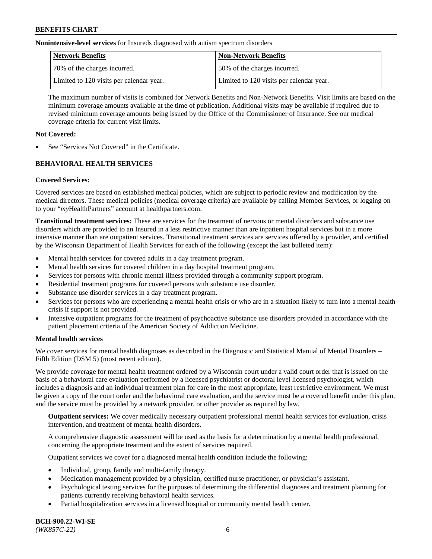**Nonintensive-level services** for Insureds diagnosed with autism spectrum disorders

| Network Benefits                         | <b>Non-Network Benefits</b>              |
|------------------------------------------|------------------------------------------|
| 70% of the charges incurred.             | 50% of the charges incurred.             |
| Limited to 120 visits per calendar year. | Limited to 120 visits per calendar year. |

The maximum number of visits is combined for Network Benefits and Non-Network Benefits. Visit limits are based on the minimum coverage amounts available at the time of publication. Additional visits may be available if required due to revised minimum coverage amounts being issued by the Office of the Commissioner of Insurance. See our medical coverage criteria for current visit limits.

## **Not Covered:**

See "Services Not Covered" in the Certificate.

## **BEHAVIORAL HEALTH SERVICES**

## **Covered Services:**

Covered services are based on established medical policies, which are subject to periodic review and modification by the medical directors. These medical policies (medical coverage criteria) are available by calling Member Services, or logging on to your "*my*HealthPartners" account at [healthpartners.com.](https://www.healthpartners.com/hp/index.html)

**Transitional treatment services:** These are services for the treatment of nervous or mental disorders and substance use disorders which are provided to an Insured in a less restrictive manner than are inpatient hospital services but in a more intensive manner than are outpatient services. Transitional treatment services are services offered by a provider, and certified by the Wisconsin Department of Health Services for each of the following (except the last bulleted item):

- Mental health services for covered adults in a day treatment program.
- Mental health services for covered children in a day hospital treatment program.
- Services for persons with chronic mental illness provided through a community support program.
- Residential treatment programs for covered persons with substance use disorder.
- Substance use disorder services in a day treatment program.
- Services for persons who are experiencing a mental health crisis or who are in a situation likely to turn into a mental health crisis if support is not provided.
- Intensive outpatient programs for the treatment of psychoactive substance use disorders provided in accordance with the patient placement criteria of the American Society of Addiction Medicine.

## **Mental health services**

We cover services for mental health diagnoses as described in the Diagnostic and Statistical Manual of Mental Disorders – Fifth Edition (DSM 5) (most recent edition).

We provide coverage for mental health treatment ordered by a Wisconsin court under a valid court order that is issued on the basis of a behavioral care evaluation performed by a licensed psychiatrist or doctoral level licensed psychologist, which includes a diagnosis and an individual treatment plan for care in the most appropriate, least restrictive environment. We must be given a copy of the court order and the behavioral care evaluation, and the service must be a covered benefit under this plan, and the service must be provided by a network provider, or other provider as required by law.

**Outpatient services:** We cover medically necessary outpatient professional mental health services for evaluation, crisis intervention, and treatment of mental health disorders.

A comprehensive diagnostic assessment will be used as the basis for a determination by a mental health professional, concerning the appropriate treatment and the extent of services required.

Outpatient services we cover for a diagnosed mental health condition include the following:

- Individual, group, family and multi-family therapy.
- Medication management provided by a physician, certified nurse practitioner, or physician's assistant.
- Psychological testing services for the purposes of determining the differential diagnoses and treatment planning for patients currently receiving behavioral health services.
- Partial hospitalization services in a licensed hospital or community mental health center.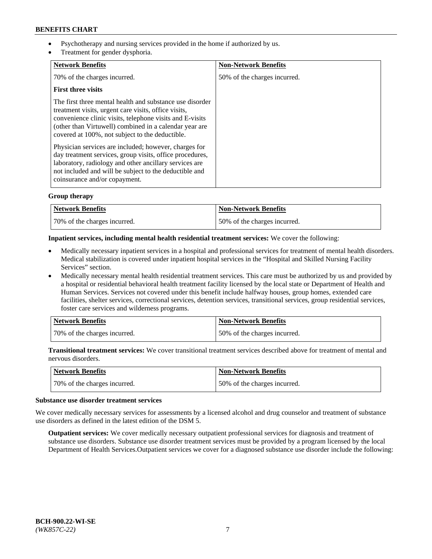- Psychotherapy and nursing services provided in the home if authorized by us.
- Treatment for gender dysphoria.

| <b>Network Benefits</b>                                                                                                                                                                                                                                                                   | <b>Non-Network Benefits</b>  |
|-------------------------------------------------------------------------------------------------------------------------------------------------------------------------------------------------------------------------------------------------------------------------------------------|------------------------------|
| 70% of the charges incurred.                                                                                                                                                                                                                                                              | 50% of the charges incurred. |
| <b>First three visits</b>                                                                                                                                                                                                                                                                 |                              |
| The first three mental health and substance use disorder<br>treatment visits, urgent care visits, office visits,<br>convenience clinic visits, telephone visits and E-visits<br>(other than Virtuwell) combined in a calendar year are<br>covered at 100%, not subject to the deductible. |                              |
| Physician services are included; however, charges for<br>day treatment services, group visits, office procedures,<br>laboratory, radiology and other ancillary services are<br>not included and will be subject to the deductible and<br>coinsurance and/or copayment.                    |                              |

## **Group therapy**

| Network Benefits             | <b>Non-Network Benefits</b>  |
|------------------------------|------------------------------|
| 70% of the charges incurred. | 50% of the charges incurred. |

#### **Inpatient services, including mental health residential treatment services:** We cover the following:

- Medically necessary inpatient services in a hospital and professional services for treatment of mental health disorders. Medical stabilization is covered under inpatient hospital services in the "Hospital and Skilled Nursing Facility Services" section.
- Medically necessary mental health residential treatment services. This care must be authorized by us and provided by a hospital or residential behavioral health treatment facility licensed by the local state or Department of Health and Human Services. Services not covered under this benefit include halfway houses, group homes, extended care facilities, shelter services, correctional services, detention services, transitional services, group residential services, foster care services and wilderness programs.

| Network Benefits             | <b>Non-Network Benefits</b>  |
|------------------------------|------------------------------|
| 70% of the charges incurred. | 50% of the charges incurred. |

**Transitional treatment services:** We cover transitional treatment services described above for treatment of mental and nervous disorders.

| Network Benefits             | <b>Non-Network Benefits</b>  |
|------------------------------|------------------------------|
| 70% of the charges incurred. | 50% of the charges incurred. |

#### **Substance use disorder treatment services**

We cover medically necessary services for assessments by a licensed alcohol and drug counselor and treatment of substance use disorders as defined in the latest edition of the DSM 5.

**Outpatient services:** We cover medically necessary outpatient professional services for diagnosis and treatment of substance use disorders. Substance use disorder treatment services must be provided by a program licensed by the local Department of Health Services.Outpatient services we cover for a diagnosed substance use disorder include the following: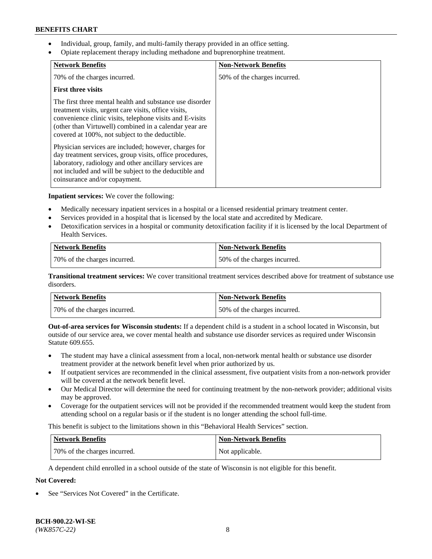- Individual, group, family, and multi-family therapy provided in an office setting.
- Opiate replacement therapy including methadone and buprenorphine treatment.

| <b>Network Benefits</b>                                                                                                                                                                                                                                                                   | <b>Non-Network Benefits</b>  |
|-------------------------------------------------------------------------------------------------------------------------------------------------------------------------------------------------------------------------------------------------------------------------------------------|------------------------------|
| 70% of the charges incurred.                                                                                                                                                                                                                                                              | 50% of the charges incurred. |
| <b>First three visits</b>                                                                                                                                                                                                                                                                 |                              |
| The first three mental health and substance use disorder<br>treatment visits, urgent care visits, office visits,<br>convenience clinic visits, telephone visits and E-visits<br>(other than Virtuwell) combined in a calendar year are<br>covered at 100%, not subject to the deductible. |                              |
| Physician services are included; however, charges for<br>day treatment services, group visits, office procedures,<br>laboratory, radiology and other ancillary services are<br>not included and will be subject to the deductible and<br>coinsurance and/or copayment.                    |                              |

**Inpatient services:** We cover the following:

- Medically necessary inpatient services in a hospital or a licensed residential primary treatment center.
- Services provided in a hospital that is licensed by the local state and accredited by Medicare.
- Detoxification services in a hospital or community detoxification facility if it is licensed by the local Department of Health Services.

| <b>Network Benefits</b>      | <b>Non-Network Benefits</b>  |
|------------------------------|------------------------------|
| 70% of the charges incurred. | 50% of the charges incurred. |

**Transitional treatment services:** We cover transitional treatment services described above for treatment of substance use disorders.

| Network Benefits             | <b>Non-Network Benefits</b>  |
|------------------------------|------------------------------|
| 70% of the charges incurred. | 50% of the charges incurred. |

**Out-of-area services for Wisconsin students:** If a dependent child is a student in a school located in Wisconsin, but outside of our service area, we cover mental health and substance use disorder services as required under Wisconsin Statute 609.655.

- The student may have a clinical assessment from a local, non-network mental health or substance use disorder treatment provider at the network benefit level when prior authorized by us.
- If outpatient services are recommended in the clinical assessment, five outpatient visits from a non-network provider will be covered at the network benefit level.
- Our Medical Director will determine the need for continuing treatment by the non-network provider; additional visits may be approved.
- Coverage for the outpatient services will not be provided if the recommended treatment would keep the student from attending school on a regular basis or if the student is no longer attending the school full-time.

This benefit is subject to the limitations shown in this "Behavioral Health Services" section.

| Network Benefits             | <b>Non-Network Benefits</b> |
|------------------------------|-----------------------------|
| 70% of the charges incurred. | Not applicable.             |

A dependent child enrolled in a school outside of the state of Wisconsin is not eligible for this benefit.

## **Not Covered:**

See "Services Not Covered" in the Certificate.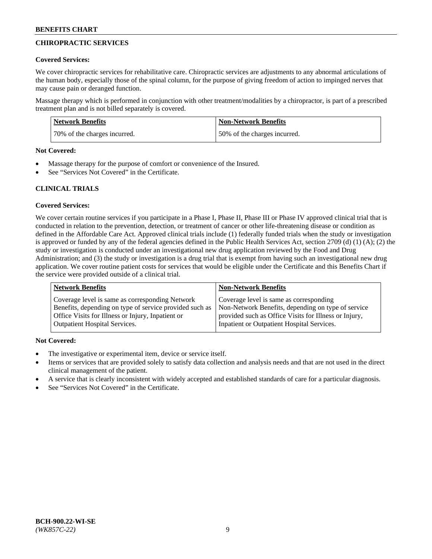## **CHIROPRACTIC SERVICES**

#### **Covered Services:**

We cover chiropractic services for rehabilitative care. Chiropractic services are adjustments to any abnormal articulations of the human body, especially those of the spinal column, for the purpose of giving freedom of action to impinged nerves that may cause pain or deranged function.

Massage therapy which is performed in conjunction with other treatment/modalities by a chiropractor, is part of a prescribed treatment plan and is not billed separately is covered.

| <b>Network Benefits</b>      | Non-Network Benefits         |
|------------------------------|------------------------------|
| 70% of the charges incurred. | 50% of the charges incurred. |

#### **Not Covered:**

- Massage therapy for the purpose of comfort or convenience of the Insured.
- See "Services Not Covered" in the Certificate.

## **CLINICAL TRIALS**

## **Covered Services:**

We cover certain routine services if you participate in a Phase I, Phase II, Phase III or Phase IV approved clinical trial that is conducted in relation to the prevention, detection, or treatment of cancer or other life-threatening disease or condition as defined in the Affordable Care Act. Approved clinical trials include (1) federally funded trials when the study or investigation is approved or funded by any of the federal agencies defined in the Public Health Services Act, section 2709 (d) (1) (A); (2) the study or investigation is conducted under an investigational new drug application reviewed by the Food and Drug Administration; and (3) the study or investigation is a drug trial that is exempt from having such an investigational new drug application. We cover routine patient costs for services that would be eligible under the Certificate and this Benefits Chart if the service were provided outside of a clinical trial.

| <b>Network Benefits</b>                                 | <b>Non-Network Benefits</b>                           |
|---------------------------------------------------------|-------------------------------------------------------|
| Coverage level is same as corresponding Network         | Coverage level is same as corresponding               |
| Benefits, depending on type of service provided such as | Non-Network Benefits, depending on type of service    |
| Office Visits for Illness or Injury, Inpatient or       | provided such as Office Visits for Illness or Injury, |
| <b>Outpatient Hospital Services.</b>                    | Inpatient or Outpatient Hospital Services.            |

## **Not Covered:**

- The investigative or experimental item, device or service itself.
- Items or services that are provided solely to satisfy data collection and analysis needs and that are not used in the direct clinical management of the patient.
- A service that is clearly inconsistent with widely accepted and established standards of care for a particular diagnosis.
- See "Services Not Covered" in the Certificate.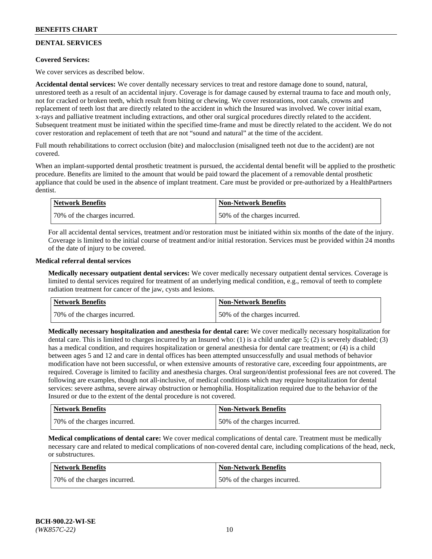# **DENTAL SERVICES**

## **Covered Services:**

We cover services as described below.

**Accidental dental services:** We cover dentally necessary services to treat and restore damage done to sound, natural, unrestored teeth as a result of an accidental injury. Coverage is for damage caused by external trauma to face and mouth only, not for cracked or broken teeth, which result from biting or chewing. We cover restorations, root canals, crowns and replacement of teeth lost that are directly related to the accident in which the Insured was involved. We cover initial exam, x-rays and palliative treatment including extractions, and other oral surgical procedures directly related to the accident. Subsequent treatment must be initiated within the specified time-frame and must be directly related to the accident. We do not cover restoration and replacement of teeth that are not "sound and natural" at the time of the accident.

Full mouth rehabilitations to correct occlusion (bite) and malocclusion (misaligned teeth not due to the accident) are not covered.

When an implant-supported dental prosthetic treatment is pursued, the accidental dental benefit will be applied to the prosthetic procedure. Benefits are limited to the amount that would be paid toward the placement of a removable dental prosthetic appliance that could be used in the absence of implant treatment. Care must be provided or pre-authorized by a HealthPartners dentist.

| Network Benefits              | <b>Non-Network Benefits</b>  |
|-------------------------------|------------------------------|
| 170% of the charges incurred. | 50% of the charges incurred. |

For all accidental dental services, treatment and/or restoration must be initiated within six months of the date of the injury. Coverage is limited to the initial course of treatment and/or initial restoration. Services must be provided within 24 months of the date of injury to be covered.

#### **Medical referral dental services**

**Medically necessary outpatient dental services:** We cover medically necessary outpatient dental services. Coverage is limited to dental services required for treatment of an underlying medical condition, e.g., removal of teeth to complete radiation treatment for cancer of the jaw, cysts and lesions.

| Network Benefits             | <b>Non-Network Benefits</b>  |
|------------------------------|------------------------------|
| 70% of the charges incurred. | 50% of the charges incurred. |

**Medically necessary hospitalization and anesthesia for dental care:** We cover medically necessary hospitalization for dental care. This is limited to charges incurred by an Insured who: (1) is a child under age  $5$ ; (2) is severely disabled; (3) has a medical condition, and requires hospitalization or general anesthesia for dental care treatment; or (4) is a child between ages 5 and 12 and care in dental offices has been attempted unsuccessfully and usual methods of behavior modification have not been successful, or when extensive amounts of restorative care, exceeding four appointments, are required. Coverage is limited to facility and anesthesia charges. Oral surgeon/dentist professional fees are not covered. The following are examples, though not all-inclusive, of medical conditions which may require hospitalization for dental services: severe asthma, severe airway obstruction or hemophilia. Hospitalization required due to the behavior of the Insured or due to the extent of the dental procedure is not covered.

| Network Benefits             | <b>Non-Network Benefits</b>  |
|------------------------------|------------------------------|
| 70% of the charges incurred. | 50% of the charges incurred. |

**Medical complications of dental care:** We cover medical complications of dental care. Treatment must be medically necessary care and related to medical complications of non-covered dental care, including complications of the head, neck, or substructures.

| Network Benefits             | <b>Non-Network Benefits</b>  |
|------------------------------|------------------------------|
| 70% of the charges incurred. | 50% of the charges incurred. |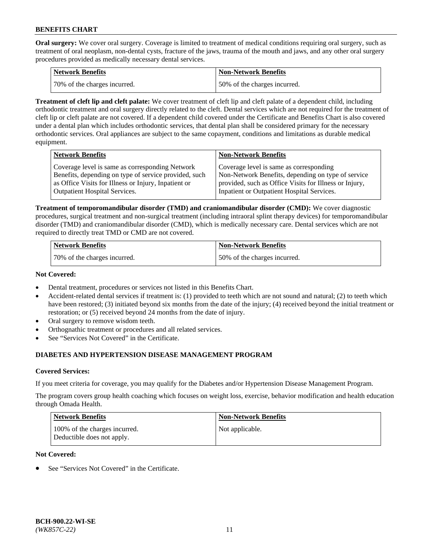**Oral surgery:** We cover oral surgery. Coverage is limited to treatment of medical conditions requiring oral surgery, such as treatment of oral neoplasm, non-dental cysts, fracture of the jaws, trauma of the mouth and jaws, and any other oral surgery procedures provided as medically necessary dental services.

| <b>Network Benefits</b>       | <b>Non-Network Benefits</b>  |
|-------------------------------|------------------------------|
| 170% of the charges incurred. | 50% of the charges incurred. |

**Treatment of cleft lip and cleft palate:** We cover treatment of cleft lip and cleft palate of a dependent child, including orthodontic treatment and oral surgery directly related to the cleft. Dental services which are not required for the treatment of cleft lip or cleft palate are not covered. If a dependent child covered under the Certificate and Benefits Chart is also covered under a dental plan which includes orthodontic services, that dental plan shall be considered primary for the necessary orthodontic services. Oral appliances are subject to the same copayment, conditions and limitations as durable medical equipment.

| <b>Network Benefits</b>                               | <b>Non-Network Benefits</b>                            |
|-------------------------------------------------------|--------------------------------------------------------|
| Coverage level is same as corresponding Network       | Coverage level is same as corresponding                |
| Benefits, depending on type of service provided, such | Non-Network Benefits, depending on type of service     |
| as Office Visits for Illness or Injury, Inpatient or  | provided, such as Office Visits for Illness or Injury, |
| <b>Outpatient Hospital Services.</b>                  | Inpatient or Outpatient Hospital Services.             |

**Treatment of temporomandibular disorder (TMD) and craniomandibular disorder (CMD):** We cover diagnostic procedures, surgical treatment and non-surgical treatment (including intraoral splint therapy devices) for temporomandibular disorder (TMD) and craniomandibular disorder (CMD), which is medically necessary care. Dental services which are not required to directly treat TMD or CMD are not covered.

| <b>Network Benefits</b>      | <b>Non-Network Benefits</b>  |
|------------------------------|------------------------------|
| 70% of the charges incurred. | 50% of the charges incurred. |

#### **Not Covered:**

- Dental treatment, procedures or services not listed in this Benefits Chart.
- Accident-related dental services if treatment is: (1) provided to teeth which are not sound and natural; (2) to teeth which have been restored; (3) initiated beyond six months from the date of the injury; (4) received beyond the initial treatment or restoration; or (5) received beyond 24 months from the date of injury.
- Oral surgery to remove wisdom teeth.
- Orthognathic treatment or procedures and all related services.
- See "Services Not Covered" in the Certificate.

## **DIABETES AND HYPERTENSION DISEASE MANAGEMENT PROGRAM**

## **Covered Services:**

If you meet criteria for coverage, you may qualify for the Diabetes and/or Hypertension Disease Management Program.

The program covers group health coaching which focuses on weight loss, exercise, behavior modification and health education through Omada Health.

| <b>Network Benefits</b>                                     | <b>Non-Network Benefits</b> |
|-------------------------------------------------------------|-----------------------------|
| 100% of the charges incurred.<br>Deductible does not apply. | Not applicable.             |

## **Not Covered:**

See "Services Not Covered" in the Certificate.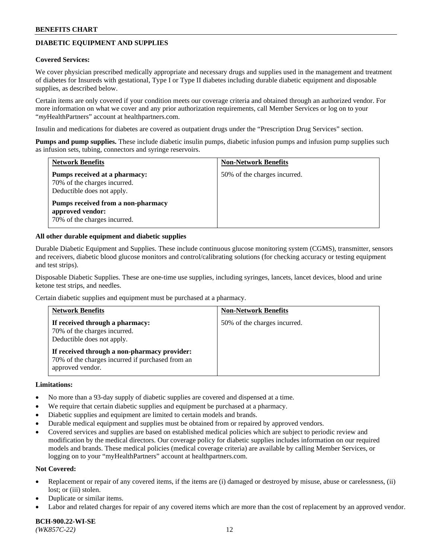## **DIABETIC EQUIPMENT AND SUPPLIES**

#### **Covered Services:**

We cover physician prescribed medically appropriate and necessary drugs and supplies used in the management and treatment of diabetes for Insureds with gestational, Type I or Type II diabetes including durable diabetic equipment and disposable supplies, as described below.

Certain items are only covered if your condition meets our coverage criteria and obtained through an authorized vendor. For more information on what we cover and any prior authorization requirements, call Member Services or log on to your "*my*HealthPartners" account at [healthpartners.com.](http://www.healthpartners.com/)

Insulin and medications for diabetes are covered as outpatient drugs under the "Prescription Drug Services" section.

**Pumps and pump supplies.** These include diabetic insulin pumps, diabetic infusion pumps and infusion pump supplies such as infusion sets, tubing, connectors and syringe reservoirs.

| <b>Network Benefits</b>                                                                     | <b>Non-Network Benefits</b>  |
|---------------------------------------------------------------------------------------------|------------------------------|
| Pumps received at a pharmacy:<br>70% of the charges incurred.<br>Deductible does not apply. | 50% of the charges incurred. |
| Pumps received from a non-pharmacy<br>approved vendor:<br>70% of the charges incurred.      |                              |

#### **All other durable equipment and diabetic supplies**

Durable Diabetic Equipment and Supplies. These include continuous glucose monitoring system (CGMS), transmitter, sensors and receivers, diabetic blood glucose monitors and control/calibrating solutions (for checking accuracy or testing equipment and test strips).

Disposable Diabetic Supplies. These are one-time use supplies, including syringes, lancets, lancet devices, blood and urine ketone test strips, and needles.

Certain diabetic supplies and equipment must be purchased at a pharmacy.

| <b>Network Benefits</b>                                                                                              | <b>Non-Network Benefits</b>  |
|----------------------------------------------------------------------------------------------------------------------|------------------------------|
| If received through a pharmacy:<br>70% of the charges incurred.<br>Deductible does not apply.                        | 50% of the charges incurred. |
| If received through a non-pharmacy provider:<br>70% of the charges incurred if purchased from an<br>approved vendor. |                              |

#### **Limitations:**

- No more than a 93-day supply of diabetic supplies are covered and dispensed at a time.
- We require that certain diabetic supplies and equipment be purchased at a pharmacy.
- Diabetic supplies and equipment are limited to certain models and brands.
- Durable medical equipment and supplies must be obtained from or repaired by approved vendors.
- Covered services and supplies are based on established medical policies which are subject to periodic review and modification by the medical directors. Our coverage policy for diabetic supplies includes information on our required models and brands. These medical policies (medical coverage criteria) are available by calling Member Services, or logging on to your "myHealthPartners" account at [healthpartners.com.](http://www.healthpartners.com/)

#### **Not Covered:**

- Replacement or repair of any covered items, if the items are (i) damaged or destroyed by misuse, abuse or carelessness, (ii) lost; or (iii) stolen.
- Duplicate or similar items.
- Labor and related charges for repair of any covered items which are more than the cost of replacement by an approved vendor.

**BCH-900.22-WI-SE**  *(WK857C-22)* 12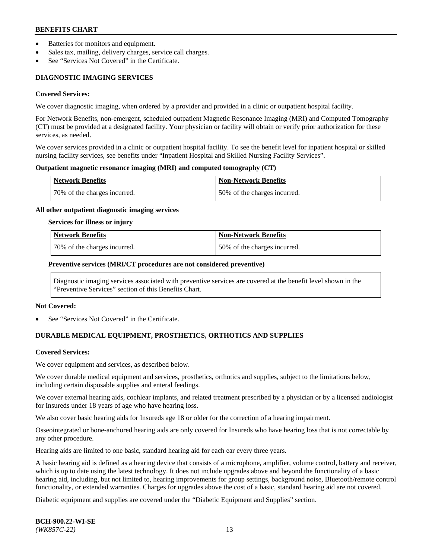- Batteries for monitors and equipment.
- Sales tax, mailing, delivery charges, service call charges.
- See "Services Not Covered" in the Certificate.

## **DIAGNOSTIC IMAGING SERVICES**

#### **Covered Services:**

We cover diagnostic imaging, when ordered by a provider and provided in a clinic or outpatient hospital facility.

For Network Benefits, non-emergent, scheduled outpatient Magnetic Resonance Imaging (MRI) and Computed Tomography (CT) must be provided at a designated facility. Your physician or facility will obtain or verify prior authorization for these services, as needed.

We cover services provided in a clinic or outpatient hospital facility. To see the benefit level for inpatient hospital or skilled nursing facility services, see benefits under "Inpatient Hospital and Skilled Nursing Facility Services".

#### **Outpatient magnetic resonance imaging (MRI) and computed tomography (CT)**

| <b>Network Benefits</b>      | <b>Non-Network Benefits</b>  |
|------------------------------|------------------------------|
| 70% of the charges incurred. | 50% of the charges incurred. |

#### **All other outpatient diagnostic imaging services**

#### **Services for illness or injury**

| Network Benefits             | <b>Non-Network Benefits</b>  |
|------------------------------|------------------------------|
| 70% of the charges incurred. | 50% of the charges incurred. |

#### **Preventive services (MRI/CT procedures are not considered preventive)**

Diagnostic imaging services associated with preventive services are covered at the benefit level shown in the "Preventive Services" section of this Benefits Chart.

#### **Not Covered:**

See "Services Not Covered" in the Certificate.

## **DURABLE MEDICAL EQUIPMENT, PROSTHETICS, ORTHOTICS AND SUPPLIES**

#### **Covered Services:**

We cover equipment and services, as described below.

We cover durable medical equipment and services, prosthetics, orthotics and supplies, subject to the limitations below, including certain disposable supplies and enteral feedings.

We cover external hearing aids, cochlear implants, and related treatment prescribed by a physician or by a licensed audiologist for Insureds under 18 years of age who have hearing loss.

We also cover basic hearing aids for Insureds age 18 or older for the correction of a hearing impairment.

Osseointegrated or bone-anchored hearing aids are only covered for Insureds who have hearing loss that is not correctable by any other procedure.

Hearing aids are limited to one basic, standard hearing aid for each ear every three years.

A basic hearing aid is defined as a hearing device that consists of a microphone, amplifier, volume control, battery and receiver, which is up to date using the latest technology. It does not include upgrades above and beyond the functionality of a basic hearing aid, including, but not limited to, hearing improvements for group settings, background noise, Bluetooth/remote control functionality, or extended warranties. Charges for upgrades above the cost of a basic, standard hearing aid are not covered.

Diabetic equipment and supplies are covered under the "Diabetic Equipment and Supplies" section.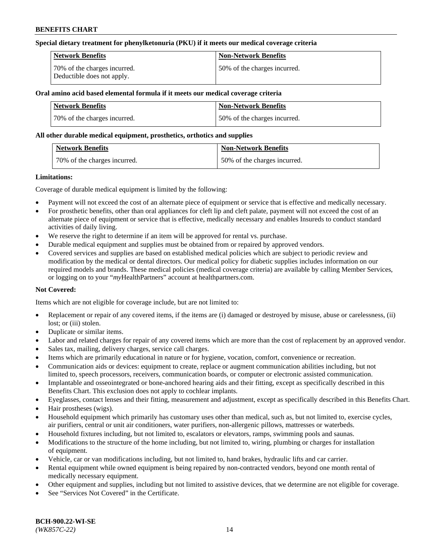#### **Special dietary treatment for phenylketonuria (PKU) if it meets our medical coverage criteria**

| Network Benefits                                           | <b>Non-Network Benefits</b>  |
|------------------------------------------------------------|------------------------------|
| 70% of the charges incurred.<br>Deductible does not apply. | 50% of the charges incurred. |

## **Oral amino acid based elemental formula if it meets our medical coverage criteria**

| Network Benefits             | <b>Non-Network Benefits</b>  |
|------------------------------|------------------------------|
| 70% of the charges incurred. | 50% of the charges incurred. |

#### **All other durable medical equipment, prosthetics, orthotics and supplies**

| <b>Network Benefits</b>      | <b>Non-Network Benefits</b>  |
|------------------------------|------------------------------|
| 70% of the charges incurred. | 50% of the charges incurred. |

#### **Limitations:**

Coverage of durable medical equipment is limited by the following:

- Payment will not exceed the cost of an alternate piece of equipment or service that is effective and medically necessary.
- For prosthetic benefits, other than oral appliances for cleft lip and cleft palate, payment will not exceed the cost of an alternate piece of equipment or service that is effective, medically necessary and enables Insureds to conduct standard activities of daily living.
- We reserve the right to determine if an item will be approved for rental vs. purchase.
- Durable medical equipment and supplies must be obtained from or repaired by approved vendors.
- Covered services and supplies are based on established medical policies which are subject to periodic review and modification by the medical or dental directors. Our medical policy for diabetic supplies includes information on our required models and brands. These medical policies (medical coverage criteria) are available by calling Member Services, or logging on to your "*my*HealthPartners" account a[t healthpartners.com.](http://www.healthpartners.com/)

## **Not Covered:**

Items which are not eligible for coverage include, but are not limited to:

- Replacement or repair of any covered items, if the items are (i) damaged or destroyed by misuse, abuse or carelessness, (ii) lost; or (iii) stolen.
- Duplicate or similar items.
- Labor and related charges for repair of any covered items which are more than the cost of replacement by an approved vendor.
- Sales tax, mailing, delivery charges, service call charges.
- Items which are primarily educational in nature or for hygiene, vocation, comfort, convenience or recreation.
- Communication aids or devices: equipment to create, replace or augment communication abilities including, but not limited to, speech processors, receivers, communication boards, or computer or electronic assisted communication.
- Implantable and osseointegrated or bone-anchored hearing aids and their fitting, except as specifically described in this Benefits Chart. This exclusion does not apply to cochlear implants.
- Eyeglasses, contact lenses and their fitting, measurement and adjustment, except as specifically described in this Benefits Chart.
- Hair prostheses (wigs).
- Household equipment which primarily has customary uses other than medical, such as, but not limited to, exercise cycles, air purifiers, central or unit air conditioners, water purifiers, non-allergenic pillows, mattresses or waterbeds.
- Household fixtures including, but not limited to, escalators or elevators, ramps, swimming pools and saunas.
- Modifications to the structure of the home including, but not limited to, wiring, plumbing or charges for installation of equipment.
- Vehicle, car or van modifications including, but not limited to, hand brakes, hydraulic lifts and car carrier.
- Rental equipment while owned equipment is being repaired by non-contracted vendors, beyond one month rental of medically necessary equipment.
- Other equipment and supplies, including but not limited to assistive devices, that we determine are not eligible for coverage.
- See "Services Not Covered" in the Certificate.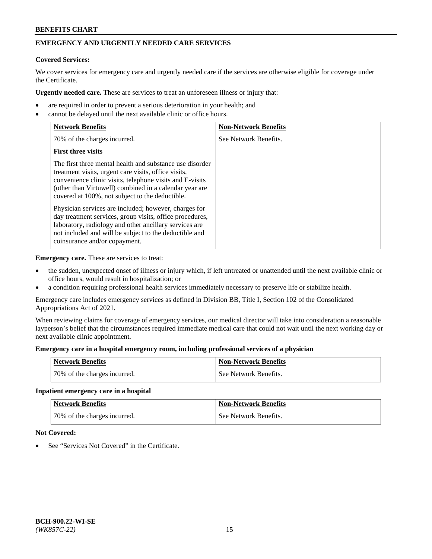## **EMERGENCY AND URGENTLY NEEDED CARE SERVICES**

#### **Covered Services:**

We cover services for emergency care and urgently needed care if the services are otherwise eligible for coverage under the Certificate.

**Urgently needed care.** These are services to treat an unforeseen illness or injury that:

- are required in order to prevent a serious deterioration in your health; and
- cannot be delayed until the next available clinic or office hours.

| <b>Network Benefits</b>                                                                                                                                                                                                                                                                   | <b>Non-Network Benefits</b> |
|-------------------------------------------------------------------------------------------------------------------------------------------------------------------------------------------------------------------------------------------------------------------------------------------|-----------------------------|
| 70% of the charges incurred.                                                                                                                                                                                                                                                              | See Network Benefits.       |
| <b>First three visits</b>                                                                                                                                                                                                                                                                 |                             |
| The first three mental health and substance use disorder<br>treatment visits, urgent care visits, office visits,<br>convenience clinic visits, telephone visits and E-visits<br>(other than Virtuwell) combined in a calendar year are<br>covered at 100%, not subject to the deductible. |                             |
| Physician services are included; however, charges for<br>day treatment services, group visits, office procedures,<br>laboratory, radiology and other ancillary services are<br>not included and will be subject to the deductible and<br>coinsurance and/or copayment.                    |                             |

**Emergency care.** These are services to treat:

- the sudden, unexpected onset of illness or injury which, if left untreated or unattended until the next available clinic or office hours, would result in hospitalization; or
- a condition requiring professional health services immediately necessary to preserve life or stabilize health.

Emergency care includes emergency services as defined in Division BB, Title I, Section 102 of the Consolidated Appropriations Act of 2021.

When reviewing claims for coverage of emergency services, our medical director will take into consideration a reasonable layperson's belief that the circumstances required immediate medical care that could not wait until the next working day or next available clinic appointment.

#### **Emergency care in a hospital emergency room, including professional services of a physician**

| <b>Network Benefits</b>      | <b>Non-Network Benefits</b> |
|------------------------------|-----------------------------|
| 70% of the charges incurred. | See Network Benefits.       |

#### **Inpatient emergency care in a hospital**

| <b>Network Benefits</b>      | <b>Non-Network Benefits</b> |
|------------------------------|-----------------------------|
| 70% of the charges incurred. | See Network Benefits.       |

## **Not Covered:**

See "Services Not Covered" in the Certificate.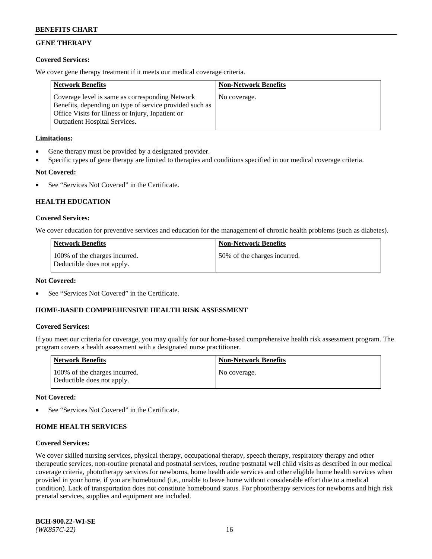## **GENE THERAPY**

## **Covered Services:**

We cover gene therapy treatment if it meets our medical coverage criteria.

| <b>Network Benefits</b>                                                                                                                                                                                 | <b>Non-Network Benefits</b> |
|---------------------------------------------------------------------------------------------------------------------------------------------------------------------------------------------------------|-----------------------------|
| Coverage level is same as corresponding Network<br>Benefits, depending on type of service provided such as<br>Office Visits for Illness or Injury, Inpatient or<br><b>Outpatient Hospital Services.</b> | No coverage.                |

## **Limitations:**

- Gene therapy must be provided by a designated provider.
- Specific types of gene therapy are limited to therapies and conditions specified in our medical coverage criteria.

# **Not Covered:**

See "Services Not Covered" in the Certificate.

## **HEALTH EDUCATION**

## **Covered Services:**

We cover education for preventive services and education for the management of chronic health problems (such as diabetes).

| Network Benefits                                            | <b>Non-Network Benefits</b>  |
|-------------------------------------------------------------|------------------------------|
| 100% of the charges incurred.<br>Deductible does not apply. | 50% of the charges incurred. |

#### **Not Covered:**

See "Services Not Covered" in the Certificate.

## **HOME-BASED COMPREHENSIVE HEALTH RISK ASSESSMENT**

## **Covered Services:**

If you meet our criteria for coverage, you may qualify for our home-based comprehensive health risk assessment program. The program covers a health assessment with a designated nurse practitioner.

| <b>Network Benefits</b>                                     | <b>Non-Network Benefits</b> |
|-------------------------------------------------------------|-----------------------------|
| 100% of the charges incurred.<br>Deductible does not apply. | No coverage.                |

## **Not Covered:**

See "Services Not Covered" in the Certificate.

## **HOME HEALTH SERVICES**

## **Covered Services:**

We cover skilled nursing services, physical therapy, occupational therapy, speech therapy, respiratory therapy and other therapeutic services, non-routine prenatal and postnatal services, routine postnatal well child visits as described in our medical coverage criteria, phototherapy services for newborns, home health aide services and other eligible home health services when provided in your home, if you are homebound (i.e., unable to leave home without considerable effort due to a medical condition). Lack of transportation does not constitute homebound status. For phototherapy services for newborns and high risk prenatal services, supplies and equipment are included.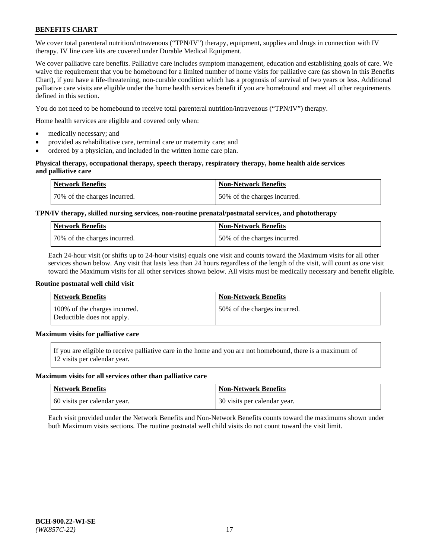We cover total parenteral nutrition/intravenous ("TPN/IV") therapy, equipment, supplies and drugs in connection with IV therapy. IV line care kits are covered under Durable Medical Equipment.

We cover palliative care benefits. Palliative care includes symptom management, education and establishing goals of care. We waive the requirement that you be homebound for a limited number of home visits for palliative care (as shown in this Benefits Chart), if you have a life-threatening, non-curable condition which has a prognosis of survival of two years or less. Additional palliative care visits are eligible under the home health services benefit if you are homebound and meet all other requirements defined in this section.

You do not need to be homebound to receive total parenteral nutrition/intravenous ("TPN/IV") therapy.

Home health services are eligible and covered only when:

- medically necessary; and
- provided as rehabilitative care, terminal care or maternity care; and
- ordered by a physician, and included in the written home care plan.

#### **Physical therapy, occupational therapy, speech therapy, respiratory therapy, home health aide services and palliative care**

| <b>Network Benefits</b>      | <b>Non-Network Benefits</b>  |
|------------------------------|------------------------------|
| 70% of the charges incurred. | 50% of the charges incurred. |

## **TPN/IV therapy, skilled nursing services, non-routine prenatal/postnatal services, and phototherapy**

| <b>Network Benefits</b>      | Non-Network Benefits         |
|------------------------------|------------------------------|
| 70% of the charges incurred. | 50% of the charges incurred. |

Each 24-hour visit (or shifts up to 24-hour visits) equals one visit and counts toward the Maximum visits for all other services shown below. Any visit that lasts less than 24 hours regardless of the length of the visit, will count as one visit toward the Maximum visits for all other services shown below. All visits must be medically necessary and benefit eligible.

#### **Routine postnatal well child visit**

| <b>Network Benefits</b>                                     | <b>Non-Network Benefits</b>  |
|-------------------------------------------------------------|------------------------------|
| 100% of the charges incurred.<br>Deductible does not apply. | 50% of the charges incurred. |

## **Maximum visits for palliative care**

If you are eligible to receive palliative care in the home and you are not homebound, there is a maximum of 12 visits per calendar year.

#### **Maximum visits for all services other than palliative care**

| <b>Network Benefits</b>      | <b>Non-Network Benefits</b>    |
|------------------------------|--------------------------------|
| 60 visits per calendar year. | 1 30 visits per calendar year. |

Each visit provided under the Network Benefits and Non-Network Benefits counts toward the maximums shown under both Maximum visits sections. The routine postnatal well child visits do not count toward the visit limit.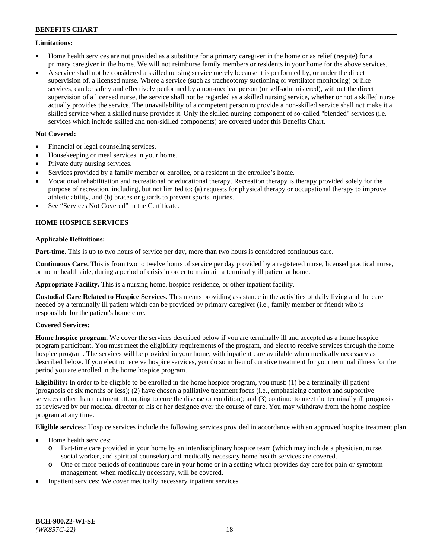#### **Limitations:**

- Home health services are not provided as a substitute for a primary caregiver in the home or as relief (respite) for a primary caregiver in the home. We will not reimburse family members or residents in your home for the above services.
- A service shall not be considered a skilled nursing service merely because it is performed by, or under the direct supervision of, a licensed nurse. Where a service (such as tracheotomy suctioning or ventilator monitoring) or like services, can be safely and effectively performed by a non-medical person (or self-administered), without the direct supervision of a licensed nurse, the service shall not be regarded as a skilled nursing service, whether or not a skilled nurse actually provides the service. The unavailability of a competent person to provide a non-skilled service shall not make it a skilled service when a skilled nurse provides it. Only the skilled nursing component of so-called "blended" services (i.e. services which include skilled and non-skilled components) are covered under this Benefits Chart.

## **Not Covered:**

- Financial or legal counseling services.
- Housekeeping or meal services in your home.
- Private duty nursing services.
- Services provided by a family member or enrollee, or a resident in the enrollee's home.
- Vocational rehabilitation and recreational or educational therapy. Recreation therapy is therapy provided solely for the purpose of recreation, including, but not limited to: (a) requests for physical therapy or occupational therapy to improve athletic ability, and (b) braces or guards to prevent sports injuries.
- See "Services Not Covered" in the Certificate.

## **HOME HOSPICE SERVICES**

## **Applicable Definitions:**

**Part-time.** This is up to two hours of service per day, more than two hours is considered continuous care.

**Continuous Care.** This is from two to twelve hours of service per day provided by a registered nurse, licensed practical nurse, or home health aide, during a period of crisis in order to maintain a terminally ill patient at home.

**Appropriate Facility.** This is a nursing home, hospice residence, or other inpatient facility.

**Custodial Care Related to Hospice Services.** This means providing assistance in the activities of daily living and the care needed by a terminally ill patient which can be provided by primary caregiver (i.e., family member or friend) who is responsible for the patient's home care.

## **Covered Services:**

**Home hospice program.** We cover the services described below if you are terminally ill and accepted as a home hospice program participant. You must meet the eligibility requirements of the program, and elect to receive services through the home hospice program. The services will be provided in your home, with inpatient care available when medically necessary as described below. If you elect to receive hospice services, you do so in lieu of curative treatment for your terminal illness for the period you are enrolled in the home hospice program.

**Eligibility:** In order to be eligible to be enrolled in the home hospice program, you must: (1) be a terminally ill patient (prognosis of six months or less); (2) have chosen a palliative treatment focus (i.e., emphasizing comfort and supportive services rather than treatment attempting to cure the disease or condition); and (3) continue to meet the terminally ill prognosis as reviewed by our medical director or his or her designee over the course of care. You may withdraw from the home hospice program at any time.

**Eligible services:** Hospice services include the following services provided in accordance with an approved hospice treatment plan.

- Home health services:
	- o Part-time care provided in your home by an interdisciplinary hospice team (which may include a physician, nurse, social worker, and spiritual counselor) and medically necessary home health services are covered.
	- o One or more periods of continuous care in your home or in a setting which provides day care for pain or symptom management, when medically necessary, will be covered.
- Inpatient services: We cover medically necessary inpatient services.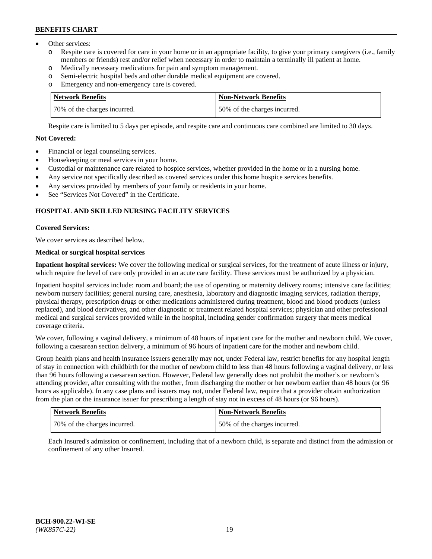- Other services:
	- o Respite care is covered for care in your home or in an appropriate facility, to give your primary caregivers (i.e., family members or friends) rest and/or relief when necessary in order to maintain a terminally ill patient at home.
	- o Medically necessary medications for pain and symptom management.
	- o Semi-electric hospital beds and other durable medical equipment are covered.
	- Emergency and non-emergency care is covered.

| Network Benefits             | Non-Network Benefits         |
|------------------------------|------------------------------|
| 70% of the charges incurred. | 50% of the charges incurred. |

Respite care is limited to 5 days per episode, and respite care and continuous care combined are limited to 30 days.

## **Not Covered:**

- Financial or legal counseling services.
- Housekeeping or meal services in your home.
- Custodial or maintenance care related to hospice services, whether provided in the home or in a nursing home.
- Any service not specifically described as covered services under this home hospice services benefits.
- Any services provided by members of your family or residents in your home.
- See "Services Not Covered" in the Certificate.

## **HOSPITAL AND SKILLED NURSING FACILITY SERVICES**

#### **Covered Services:**

We cover services as described below.

## **Medical or surgical hospital services**

**Inpatient hospital services:** We cover the following medical or surgical services, for the treatment of acute illness or injury, which require the level of care only provided in an acute care facility. These services must be authorized by a physician.

Inpatient hospital services include: room and board; the use of operating or maternity delivery rooms; intensive care facilities; newborn nursery facilities; general nursing care, anesthesia, laboratory and diagnostic imaging services, radiation therapy, physical therapy, prescription drugs or other medications administered during treatment, blood and blood products (unless replaced), and blood derivatives, and other diagnostic or treatment related hospital services; physician and other professional medical and surgical services provided while in the hospital, including gender confirmation surgery that meets medical coverage criteria.

We cover, following a vaginal delivery, a minimum of 48 hours of inpatient care for the mother and newborn child. We cover, following a caesarean section delivery, a minimum of 96 hours of inpatient care for the mother and newborn child.

Group health plans and health insurance issuers generally may not, under Federal law, restrict benefits for any hospital length of stay in connection with childbirth for the mother of newborn child to less than 48 hours following a vaginal delivery, or less than 96 hours following a caesarean section. However, Federal law generally does not prohibit the mother's or newborn's attending provider, after consulting with the mother, from discharging the mother or her newborn earlier than 48 hours (or 96 hours as applicable). In any case plans and issuers may not, under Federal law, require that a provider obtain authorization from the plan or the insurance issuer for prescribing a length of stay not in excess of 48 hours (or 96 hours).

| <b>Network Benefits</b>      | <b>Non-Network Benefits</b>  |
|------------------------------|------------------------------|
| 70% of the charges incurred. | 50% of the charges incurred. |

Each Insured's admission or confinement, including that of a newborn child, is separate and distinct from the admission or confinement of any other Insured.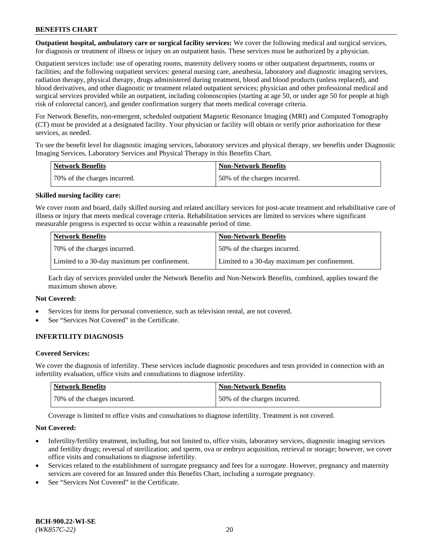**Outpatient hospital, ambulatory care or surgical facility services:** We cover the following medical and surgical services, for diagnosis or treatment of illness or injury on an outpatient basis. These services must be authorized by a physician.

Outpatient services include: use of operating rooms, maternity delivery rooms or other outpatient departments, rooms or facilities; and the following outpatient services: general nursing care, anesthesia, laboratory and diagnostic imaging services, radiation therapy, physical therapy, drugs administered during treatment, blood and blood products (unless replaced), and blood derivatives, and other diagnostic or treatment related outpatient services; physician and other professional medical and surgical services provided while an outpatient, including colonoscopies (starting at age 50, or under age 50 for people at high risk of colorectal cancer), and gender confirmation surgery that meets medical coverage criteria.

For Network Benefits, non-emergent, scheduled outpatient Magnetic Resonance Imaging (MRI) and Computed Tomography (CT) must be provided at a designated facility. Your physician or facility will obtain or verify prior authorization for these services, as needed.

To see the benefit level for diagnostic imaging services, laboratory services and physical therapy, see benefits under Diagnostic Imaging Services, Laboratory Services and Physical Therapy in this Benefits Chart.

| <b>Network Benefits</b>      | Non-Network Benefits          |
|------------------------------|-------------------------------|
| 70% of the charges incurred. | 150% of the charges incurred. |

#### **Skilled nursing facility care:**

We cover room and board, daily skilled nursing and related ancillary services for post-acute treatment and rehabilitative care of illness or injury that meets medical coverage criteria. Rehabilitation services are limited to services where significant measurable progress is expected to occur within a reasonable period of time.

| <b>Network Benefits</b>                      | <b>Non-Network Benefits</b>                  |
|----------------------------------------------|----------------------------------------------|
| 70% of the charges incurred.                 | 50% of the charges incurred.                 |
| Limited to a 30-day maximum per confinement. | Limited to a 30-day maximum per confinement. |

Each day of services provided under the Network Benefits and Non-Network Benefits, combined, applies toward the maximum shown above.

## **Not Covered:**

- Services for items for personal convenience, such as television rental, are not covered.
- See "Services Not Covered" in the Certificate.

## **INFERTILITY DIAGNOSIS**

#### **Covered Services:**

We cover the diagnosis of infertility. These services include diagnostic procedures and tests provided in connection with an infertility evaluation, office visits and consultations to diagnose infertility.

| Network Benefits             | <b>Non-Network Benefits</b>  |
|------------------------------|------------------------------|
| 70% of the charges incurred. | 50% of the charges incurred. |

Coverage is limited to office visits and consultations to diagnose infertility. Treatment is not covered.

#### **Not Covered:**

- Infertility/fertility treatment, including, but not limited to, office visits, laboratory services, diagnostic imaging services and fertility drugs; reversal of sterilization; and sperm, ova or embryo acquisition, retrieval or storage; however, we cover office visits and consultations to diagnose infertility.
- Services related to the establishment of surrogate pregnancy and fees for a surrogate. However, pregnancy and maternity services are covered for an Insured under this Benefits Chart, including a surrogate pregnancy.
- See "Services Not Covered" in the Certificate.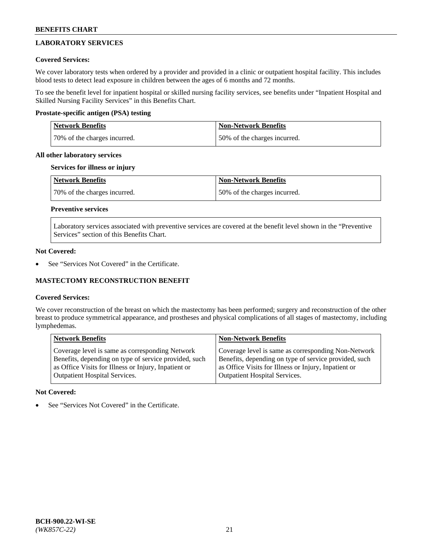# **LABORATORY SERVICES**

## **Covered Services:**

We cover laboratory tests when ordered by a provider and provided in a clinic or outpatient hospital facility. This includes blood tests to detect lead exposure in children between the ages of 6 months and 72 months.

To see the benefit level for inpatient hospital or skilled nursing facility services, see benefits under "Inpatient Hospital and Skilled Nursing Facility Services" in this Benefits Chart.

## **Prostate-specific antigen (PSA) testing**

| <b>Network Benefits</b>      | <b>Non-Network Benefits</b>  |
|------------------------------|------------------------------|
| 70% of the charges incurred. | 50% of the charges incurred. |

## **All other laboratory services**

## **Services for illness or injury**

| Network Benefits             | <b>Non-Network Benefits</b>  |
|------------------------------|------------------------------|
| 70% of the charges incurred. | 50% of the charges incurred. |

# **Preventive services**

Laboratory services associated with preventive services are covered at the benefit level shown in the "Preventive Services" section of this Benefits Chart.

## **Not Covered:**

See "Services Not Covered" in the Certificate.

## **MASTECTOMY RECONSTRUCTION BENEFIT**

## **Covered Services:**

We cover reconstruction of the breast on which the mastectomy has been performed; surgery and reconstruction of the other breast to produce symmetrical appearance, and prostheses and physical complications of all stages of mastectomy, including lymphedemas.

| <b>Network Benefits</b>                               | <b>Non-Network Benefits</b>                           |
|-------------------------------------------------------|-------------------------------------------------------|
| Coverage level is same as corresponding Network       | Coverage level is same as corresponding Non-Network   |
| Benefits, depending on type of service provided, such | Benefits, depending on type of service provided, such |
| as Office Visits for Illness or Injury, Inpatient or  | as Office Visits for Illness or Injury, Inpatient or  |
| <b>Outpatient Hospital Services.</b>                  | <b>Outpatient Hospital Services.</b>                  |

## **Not Covered:**

See "Services Not Covered" in the Certificate.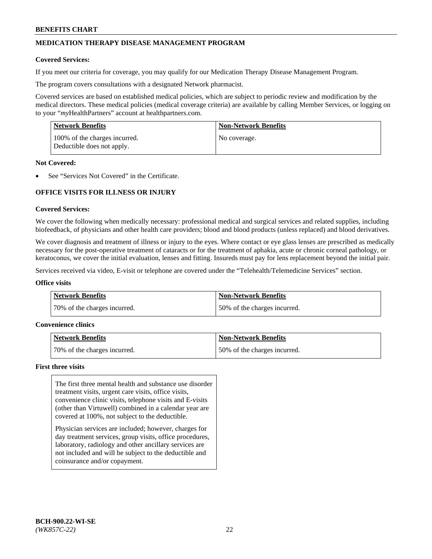## **MEDICATION THERAPY DISEASE MANAGEMENT PROGRAM**

#### **Covered Services:**

If you meet our criteria for coverage, you may qualify for our Medication Therapy Disease Management Program.

The program covers consultations with a designated Network pharmacist.

Covered services are based on established medical policies, which are subject to periodic review and modification by the medical directors. These medical policies (medical coverage criteria) are available by calling Member Services, or logging on to your "*my*HealthPartners" account at [healthpartners.com.](http://www.healthpartners.com/)

| <b>Network Benefits</b>                                     | <b>Non-Network Benefits</b> |
|-------------------------------------------------------------|-----------------------------|
| 100% of the charges incurred.<br>Deductible does not apply. | No coverage.                |

#### **Not Covered:**

See "Services Not Covered" in the Certificate.

## **OFFICE VISITS FOR ILLNESS OR INJURY**

#### **Covered Services:**

We cover the following when medically necessary: professional medical and surgical services and related supplies, including biofeedback, of physicians and other health care providers; blood and blood products (unless replaced) and blood derivatives.

We cover diagnosis and treatment of illness or injury to the eyes. Where contact or eye glass lenses are prescribed as medically necessary for the post-operative treatment of cataracts or for the treatment of aphakia, acute or chronic corneal pathology, or keratoconus, we cover the initial evaluation, lenses and fitting. Insureds must pay for lens replacement beyond the initial pair.

Services received via video, E-visit or telephone are covered under the "Telehealth/Telemedicine Services" section.

#### **Office visits**

| <b>Network Benefits</b>      | <b>Non-Network Benefits</b>  |
|------------------------------|------------------------------|
| 70% of the charges incurred. | 50% of the charges incurred. |

#### **Convenience clinics**

| Network Benefits             | <b>Non-Network Benefits</b>  |
|------------------------------|------------------------------|
| 70% of the charges incurred. | 50% of the charges incurred. |

#### **First three visits**

The first three mental health and substance use disorder treatment visits, urgent care visits, office visits, convenience clinic visits, telephone visits and E-visits (other than Virtuwell) combined in a calendar year are covered at 100%, not subject to the deductible.

Physician services are included; however, charges for day treatment services, group visits, office procedures, laboratory, radiology and other ancillary services are not included and will be subject to the deductible and coinsurance and/or copayment.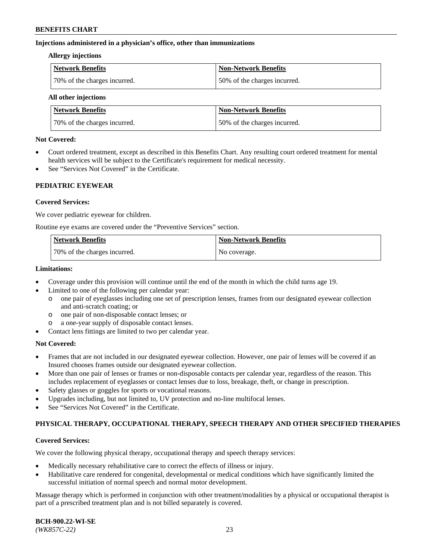#### **Injections administered in a physician's office, other than immunizations**

#### **Allergy injections**

| <b>Network Benefits</b>      | Non-Network Benefits         |
|------------------------------|------------------------------|
| 70% of the charges incurred. | 50% of the charges incurred. |

#### **All other injections**

| <b>Network Benefits</b>      | <b>Non-Network Benefits</b>  |
|------------------------------|------------------------------|
| 70% of the charges incurred. | 50% of the charges incurred. |

#### **Not Covered:**

- Court ordered treatment, except as described in this Benefits Chart. Any resulting court ordered treatment for mental health services will be subject to the Certificate's requirement for medical necessity.
- See "Services Not Covered" in the Certificate.

## **PEDIATRIC EYEWEAR**

#### **Covered Services:**

We cover pediatric eyewear for children.

Routine eye exams are covered under the "Preventive Services" section.

| <b>Network Benefits</b>      | <b>Non-Network Benefits</b> |
|------------------------------|-----------------------------|
| 70% of the charges incurred. | No coverage.                |

#### **Limitations:**

- Coverage under this provision will continue until the end of the month in which the child turns age 19.
- Limited to one of the following per calendar year:
	- o one pair of eyeglasses including one set of prescription lenses, frames from our designated eyewear collection and anti-scratch coating; or
	- o one pair of non-disposable contact lenses; or
	- o a one-year supply of disposable contact lenses.
- Contact lens fittings are limited to two per calendar year.

## **Not Covered:**

- Frames that are not included in our designated eyewear collection. However, one pair of lenses will be covered if an Insured chooses frames outside our designated eyewear collection.
- More than one pair of lenses or frames or non-disposable contacts per calendar year, regardless of the reason. This includes replacement of eyeglasses or contact lenses due to loss, breakage, theft, or change in prescription.
- Safety glasses or goggles for sports or vocational reasons.
- Upgrades including, but not limited to, UV protection and no-line multifocal lenses.
- See "Services Not Covered" in the Certificate.

## **PHYSICAL THERAPY, OCCUPATIONAL THERAPY, SPEECH THERAPY AND OTHER SPECIFIED THERAPIES**

## **Covered Services:**

We cover the following physical therapy, occupational therapy and speech therapy services:

- Medically necessary rehabilitative care to correct the effects of illness or injury.
- Habilitative care rendered for congenital, developmental or medical conditions which have significantly limited the successful initiation of normal speech and normal motor development.

Massage therapy which is performed in conjunction with other treatment/modalities by a physical or occupational therapist is part of a prescribed treatment plan and is not billed separately is covered.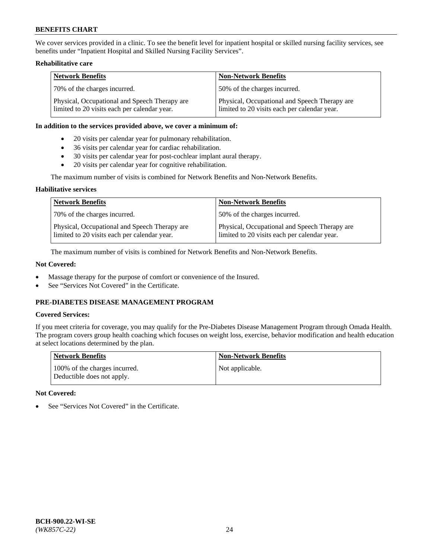We cover services provided in a clinic. To see the benefit level for inpatient hospital or skilled nursing facility services, see benefits under "Inpatient Hospital and Skilled Nursing Facility Services".

### **Rehabilitative care**

| <b>Network Benefits</b>                                                                       | <b>Non-Network Benefits</b>                                                                   |
|-----------------------------------------------------------------------------------------------|-----------------------------------------------------------------------------------------------|
| 70% of the charges incurred.                                                                  | 50% of the charges incurred.                                                                  |
| Physical, Occupational and Speech Therapy are<br>limited to 20 visits each per calendar year. | Physical, Occupational and Speech Therapy are<br>limited to 20 visits each per calendar year. |

#### **In addition to the services provided above, we cover a minimum of:**

- 20 visits per calendar year for pulmonary rehabilitation.
- 36 visits per calendar year for cardiac rehabilitation.
- 30 visits per calendar year for post-cochlear implant aural therapy.
- 20 visits per calendar year for cognitive rehabilitation.

The maximum number of visits is combined for Network Benefits and Non-Network Benefits.

#### **Habilitative services**

| <b>Network Benefits</b>                                                                       | <b>Non-Network Benefits</b>                                                                   |
|-----------------------------------------------------------------------------------------------|-----------------------------------------------------------------------------------------------|
| 70% of the charges incurred.                                                                  | 50% of the charges incurred.                                                                  |
| Physical, Occupational and Speech Therapy are<br>limited to 20 visits each per calendar year. | Physical, Occupational and Speech Therapy are<br>limited to 20 visits each per calendar year. |

The maximum number of visits is combined for Network Benefits and Non-Network Benefits.

## **Not Covered:**

- Massage therapy for the purpose of comfort or convenience of the Insured.
- See "Services Not Covered" in the Certificate.

## **PRE-DIABETES DISEASE MANAGEMENT PROGRAM**

## **Covered Services:**

If you meet criteria for coverage, you may qualify for the Pre-Diabetes Disease Management Program through Omada Health. The program covers group health coaching which focuses on weight loss, exercise, behavior modification and health education at select locations determined by the plan.

| <b>Network Benefits</b>                                     | <b>Non-Network Benefits</b> |
|-------------------------------------------------------------|-----------------------------|
| 100% of the charges incurred.<br>Deductible does not apply. | Not applicable.             |

## **Not Covered:**

See "Services Not Covered" in the Certificate.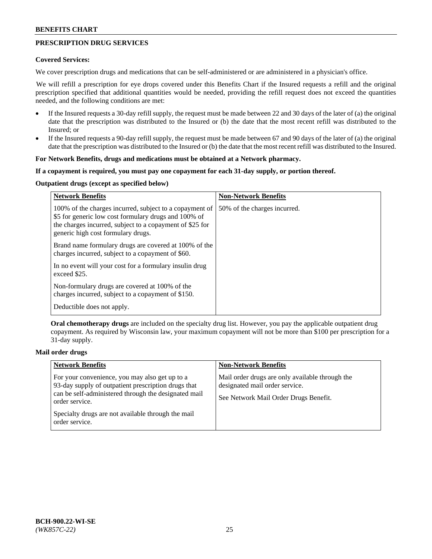## **PRESCRIPTION DRUG SERVICES**

#### **Covered Services:**

We cover prescription drugs and medications that can be self-administered or are administered in a physician's office.

We will refill a prescription for eye drops covered under this Benefits Chart if the Insured requests a refill and the original prescription specified that additional quantities would be needed, providing the refill request does not exceed the quantities needed, and the following conditions are met:

- If the Insured requests a 30-day refill supply, the request must be made between 22 and 30 days of the later of (a) the original date that the prescription was distributed to the Insured or (b) the date that the most recent refill was distributed to the Insured; or
- If the Insured requests a 90-day refill supply, the request must be made between 67 and 90 days of the later of (a) the original date that the prescription was distributed to the Insured or (b) the date that the most recent refill was distributed to the Insured.

#### **For Network Benefits, drugs and medications must be obtained at a Network pharmacy.**

#### **If a copayment is required, you must pay one copayment for each 31-day supply, or portion thereof.**

## **Outpatient drugs (except as specified below)**

| <b>Network Benefits</b>                                                                                                                                                                                           | <b>Non-Network Benefits</b>  |
|-------------------------------------------------------------------------------------------------------------------------------------------------------------------------------------------------------------------|------------------------------|
| 100% of the charges incurred, subject to a copayment of<br>\$5 for generic low cost formulary drugs and 100% of<br>the charges incurred, subject to a copayment of \$25 for<br>generic high cost formulary drugs. | 50% of the charges incurred. |
| Brand name formulary drugs are covered at 100% of the<br>charges incurred, subject to a copayment of \$60.                                                                                                        |                              |
| In no event will your cost for a formulary insulin drug<br>exceed \$25.                                                                                                                                           |                              |
| Non-formulary drugs are covered at 100% of the<br>charges incurred, subject to a copayment of \$150.                                                                                                              |                              |
| Deductible does not apply.                                                                                                                                                                                        |                              |

**Oral chemotherapy drugs** are included on the specialty drug list. However, you pay the applicable outpatient drug copayment. As required by Wisconsin law, your maximum copayment will not be more than \$100 per prescription for a 31-day supply.

## **Mail order drugs**

| <b>Network Benefits</b>                                                                                                                                                         | <b>Non-Network Benefits</b>                                                                                                |
|---------------------------------------------------------------------------------------------------------------------------------------------------------------------------------|----------------------------------------------------------------------------------------------------------------------------|
| For your convenience, you may also get up to a<br>93-day supply of outpatient prescription drugs that<br>can be self-administered through the designated mail<br>order service. | Mail order drugs are only available through the<br>designated mail order service.<br>See Network Mail Order Drugs Benefit. |
| Specialty drugs are not available through the mail<br>order service.                                                                                                            |                                                                                                                            |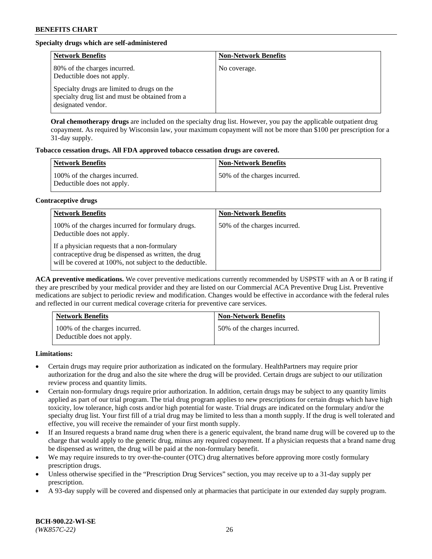## **Specialty drugs which are self-administered**

| <b>Network Benefits</b>                                                                                              | <b>Non-Network Benefits</b> |
|----------------------------------------------------------------------------------------------------------------------|-----------------------------|
| 80% of the charges incurred.<br>Deductible does not apply.                                                           | No coverage.                |
| Specialty drugs are limited to drugs on the<br>specialty drug list and must be obtained from a<br>designated vendor. |                             |

**Oral chemotherapy drugs** are included on the specialty drug list. However, you pay the applicable outpatient drug copayment. As required by Wisconsin law, your maximum copayment will not be more than \$100 per prescription for a 31-day supply.

## **Tobacco cessation drugs. All FDA approved tobacco cessation drugs are covered.**

| <b>Network Benefits</b>                                     | <b>Non-Network Benefits</b>  |
|-------------------------------------------------------------|------------------------------|
| 100% of the charges incurred.<br>Deductible does not apply. | 50% of the charges incurred. |

## **Contraceptive drugs**

| <b>Network Benefits</b>                                                                                                                                         | <b>Non-Network Benefits</b>  |
|-----------------------------------------------------------------------------------------------------------------------------------------------------------------|------------------------------|
| 100% of the charges incurred for formulary drugs.<br>Deductible does not apply.                                                                                 | 50% of the charges incurred. |
| If a physician requests that a non-formulary<br>contraceptive drug be dispensed as written, the drug<br>will be covered at 100%, not subject to the deductible. |                              |

**ACA preventive medications.** We cover preventive medications currently recommended by USPSTF with an A or B rating if they are prescribed by your medical provider and they are listed on our Commercial ACA Preventive Drug List. Preventive medications are subject to periodic review and modification. Changes would be effective in accordance with the federal rules and reflected in our current medical coverage criteria for preventive care services.

| <b>Network Benefits</b>                                     | <b>Non-Network Benefits</b>  |
|-------------------------------------------------------------|------------------------------|
| 100% of the charges incurred.<br>Deductible does not apply. | 50% of the charges incurred. |

**Limitations:**

- Certain drugs may require prior authorization as indicated on the formulary. HealthPartners may require prior authorization for the drug and also the site where the drug will be provided. Certain drugs are subject to our utilization review process and quantity limits.
- Certain non-formulary drugs require prior authorization. In addition, certain drugs may be subject to any quantity limits applied as part of our trial program. The trial drug program applies to new prescriptions for certain drugs which have high toxicity, low tolerance, high costs and/or high potential for waste. Trial drugs are indicated on the formulary and/or the specialty drug list. Your first fill of a trial drug may be limited to less than a month supply. If the drug is well tolerated and effective, you will receive the remainder of your first month supply.
- If an Insured requests a brand name drug when there is a generic equivalent, the brand name drug will be covered up to the charge that would apply to the generic drug, minus any required copayment. If a physician requests that a brand name drug be dispensed as written, the drug will be paid at the non-formulary benefit.
- We may require insureds to try over-the-counter (OTC) drug alternatives before approving more costly formulary prescription drugs.
- Unless otherwise specified in the "Prescription Drug Services" section, you may receive up to a 31-day supply per prescription.
- A 93-day supply will be covered and dispensed only at pharmacies that participate in our extended day supply program.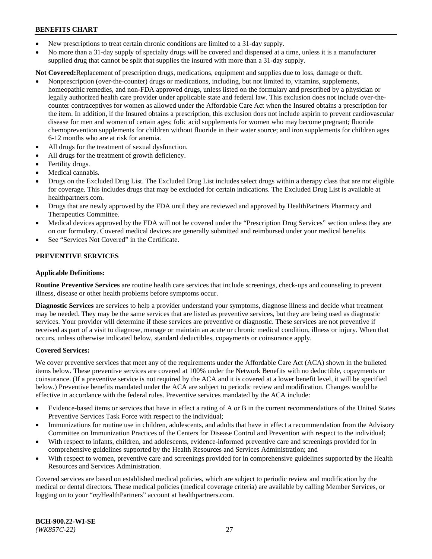- New prescriptions to treat certain chronic conditions are limited to a 31-day supply.
- No more than a 31-day supply of specialty drugs will be covered and dispensed at a time, unless it is a manufacturer supplied drug that cannot be split that supplies the insured with more than a 31-day supply.

**Not Covered:**Replacement of prescription drugs, medications, equipment and supplies due to loss, damage or theft.

- Nonprescription (over-the-counter) drugs or medications, including, but not limited to, vitamins, supplements, homeopathic remedies, and non-FDA approved drugs, unless listed on the formulary and prescribed by a physician or legally authorized health care provider under applicable state and federal law. This exclusion does not include over-thecounter contraceptives for women as allowed under the Affordable Care Act when the Insured obtains a prescription for the item. In addition, if the Insured obtains a prescription, this exclusion does not include aspirin to prevent cardiovascular disease for men and women of certain ages; folic acid supplements for women who may become pregnant; fluoride chemoprevention supplements for children without fluoride in their water source; and iron supplements for children ages 6-12 months who are at risk for anemia.
- All drugs for the treatment of sexual dysfunction.
- All drugs for the treatment of growth deficiency.
- Fertility drugs.
- Medical cannabis.
- Drugs on the Excluded Drug List. The Excluded Drug List includes select drugs within a therapy class that are not eligible for coverage. This includes drugs that may be excluded for certain indications. The Excluded Drug List is available at [healthpartners.com.](http://www.healthpartners.com/)
- Drugs that are newly approved by the FDA until they are reviewed and approved by HealthPartners Pharmacy and Therapeutics Committee.
- Medical devices approved by the FDA will not be covered under the "Prescription Drug Services" section unless they are on our formulary. Covered medical devices are generally submitted and reimbursed under your medical benefits.
- See "Services Not Covered" in the Certificate.

## **PREVENTIVE SERVICES**

#### **Applicable Definitions:**

**Routine Preventive Services** are routine health care services that include screenings, check-ups and counseling to prevent illness, disease or other health problems before symptoms occur.

**Diagnostic Services** are services to help a provider understand your symptoms, diagnose illness and decide what treatment may be needed. They may be the same services that are listed as preventive services, but they are being used as diagnostic services. Your provider will determine if these services are preventive or diagnostic. These services are not preventive if received as part of a visit to diagnose, manage or maintain an acute or chronic medical condition, illness or injury. When that occurs, unless otherwise indicated below, standard deductibles, copayments or coinsurance apply.

#### **Covered Services:**

We cover preventive services that meet any of the requirements under the Affordable Care Act (ACA) shown in the bulleted items below. These preventive services are covered at 100% under the Network Benefits with no deductible, copayments or coinsurance. (If a preventive service is not required by the ACA and it is covered at a lower benefit level, it will be specified below.) Preventive benefits mandated under the ACA are subject to periodic review and modification. Changes would be effective in accordance with the federal rules. Preventive services mandated by the ACA include:

- Evidence-based items or services that have in effect a rating of A or B in the current recommendations of the United States Preventive Services Task Force with respect to the individual;
- Immunizations for routine use in children, adolescents, and adults that have in effect a recommendation from the Advisory Committee on Immunization Practices of the Centers for Disease Control and Prevention with respect to the individual;
- With respect to infants, children, and adolescents, evidence-informed preventive care and screenings provided for in comprehensive guidelines supported by the Health Resources and Services Administration; and
- With respect to women, preventive care and screenings provided for in comprehensive guidelines supported by the Health Resources and Services Administration.

Covered services are based on established medical policies, which are subject to periodic review and modification by the medical or dental directors. These medical policies (medical coverage criteria) are available by calling Member Services, or logging on to your "*my*HealthPartners" account at [healthpartners.com.](https://www.healthpartners.com/hp/index.html)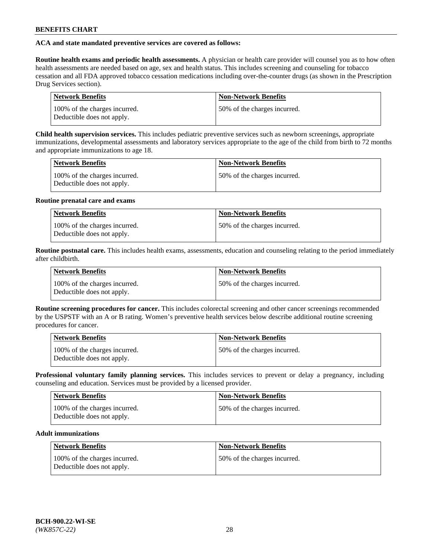## **ACA and state mandated preventive services are covered as follows:**

**Routine health exams and periodic health assessments.** A physician or health care provider will counsel you as to how often health assessments are needed based on age, sex and health status. This includes screening and counseling for tobacco cessation and all FDA approved tobacco cessation medications including over-the-counter drugs (as shown in the Prescription Drug Services section).

| <b>Network Benefits</b>                                     | <b>Non-Network Benefits</b>   |
|-------------------------------------------------------------|-------------------------------|
| 100% of the charges incurred.<br>Deductible does not apply. | 150% of the charges incurred. |

**Child health supervision services.** This includes pediatric preventive services such as newborn screenings, appropriate immunizations, developmental assessments and laboratory services appropriate to the age of the child from birth to 72 months and appropriate immunizations to age 18.

| <b>Network Benefits</b>                                     | <b>Non-Network Benefits</b>  |
|-------------------------------------------------------------|------------------------------|
| 100% of the charges incurred.<br>Deductible does not apply. | 50% of the charges incurred. |

## **Routine prenatal care and exams**

| Network Benefits                                            | <b>Non-Network Benefits</b>   |
|-------------------------------------------------------------|-------------------------------|
| 100% of the charges incurred.<br>Deductible does not apply. | 150% of the charges incurred. |

**Routine postnatal care.** This includes health exams, assessments, education and counseling relating to the period immediately after childbirth.

| <b>Network Benefits</b>                                     | <b>Non-Network Benefits</b>  |
|-------------------------------------------------------------|------------------------------|
| 100% of the charges incurred.<br>Deductible does not apply. | 50% of the charges incurred. |

**Routine screening procedures for cancer.** This includes colorectal screening and other cancer screenings recommended by the USPSTF with an A or B rating. Women's preventive health services below describe additional routine screening procedures for cancer.

| <b>Network Benefits</b>                                     | <b>Non-Network Benefits</b>   |
|-------------------------------------------------------------|-------------------------------|
| 100% of the charges incurred.<br>Deductible does not apply. | 150% of the charges incurred. |

**Professional voluntary family planning services.** This includes services to prevent or delay a pregnancy, including counseling and education. Services must be provided by a licensed provider.

| <b>Network Benefits</b>                                     | <b>Non-Network Benefits</b>  |
|-------------------------------------------------------------|------------------------------|
| 100% of the charges incurred.<br>Deductible does not apply. | 50% of the charges incurred. |

## **Adult immunizations**

| Network Benefits                                            | <b>Non-Network Benefits</b>  |
|-------------------------------------------------------------|------------------------------|
| 100% of the charges incurred.<br>Deductible does not apply. | 50% of the charges incurred. |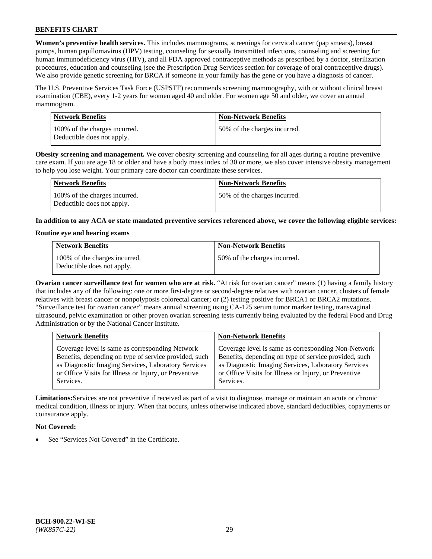**Women's preventive health services.** This includes mammograms, screenings for cervical cancer (pap smears), breast pumps, human papillomavirus (HPV) testing, counseling for sexually transmitted infections, counseling and screening for human immunodeficiency virus (HIV), and all FDA approved contraceptive methods as prescribed by a doctor, sterilization procedures, education and counseling (see the Prescription Drug Services section for coverage of oral contraceptive drugs). We also provide genetic screening for BRCA if someone in your family has the gene or you have a diagnosis of cancer.

The U.S. Preventive Services Task Force (USPSTF) recommends screening mammography, with or without clinical breast examination (CBE), every 1-2 years for women aged 40 and older. For women age 50 and older, we cover an annual mammogram.

| <b>Network Benefits</b>                                     | <b>Non-Network Benefits</b>  |
|-------------------------------------------------------------|------------------------------|
| 100% of the charges incurred.<br>Deductible does not apply. | 50% of the charges incurred. |

**Obesity screening and management.** We cover obesity screening and counseling for all ages during a routine preventive care exam. If you are age 18 or older and have a body mass index of 30 or more, we also cover intensive obesity management to help you lose weight. Your primary care doctor can coordinate these services.

| Network Benefits                                            | <b>Non-Network Benefits</b>  |
|-------------------------------------------------------------|------------------------------|
| 100% of the charges incurred.<br>Deductible does not apply. | 50% of the charges incurred. |

**In addition to any ACA or state mandated preventive services referenced above, we cover the following eligible services:**

#### **Routine eye and hearing exams**

| <b>Network Benefits</b>                                     | <b>Non-Network Benefits</b>  |
|-------------------------------------------------------------|------------------------------|
| 100% of the charges incurred.<br>Deductible does not apply. | 50% of the charges incurred. |

**Ovarian cancer surveillance test for women who are at risk.** "At risk for ovarian cancer" means (1) having a family history that includes any of the following: one or more first-degree or second-degree relatives with ovarian cancer, clusters of female relatives with breast cancer or nonpolyposis colorectal cancer; or (2) testing positive for BRCA1 or BRCA2 mutations. "Surveillance test for ovarian cancer" means annual screening using CA-125 serum tumor marker testing, transvaginal ultrasound, pelvic examination or other proven ovarian screening tests currently being evaluated by the federal Food and Drug Administration or by the National Cancer Institute.

| <b>Network Benefits</b>                               | <b>Non-Network Benefits</b>                           |
|-------------------------------------------------------|-------------------------------------------------------|
| Coverage level is same as corresponding Network       | Coverage level is same as corresponding Non-Network   |
| Benefits, depending on type of service provided, such | Benefits, depending on type of service provided, such |
| as Diagnostic Imaging Services, Laboratory Services   | as Diagnostic Imaging Services, Laboratory Services   |
| or Office Visits for Illness or Injury, or Preventive | or Office Visits for Illness or Injury, or Preventive |
| Services.                                             | Services.                                             |

**Limitations:**Services are not preventive if received as part of a visit to diagnose, manage or maintain an acute or chronic medical condition, illness or injury. When that occurs, unless otherwise indicated above, standard deductibles, copayments or coinsurance apply.

## **Not Covered:**

See "Services Not Covered" in the Certificate.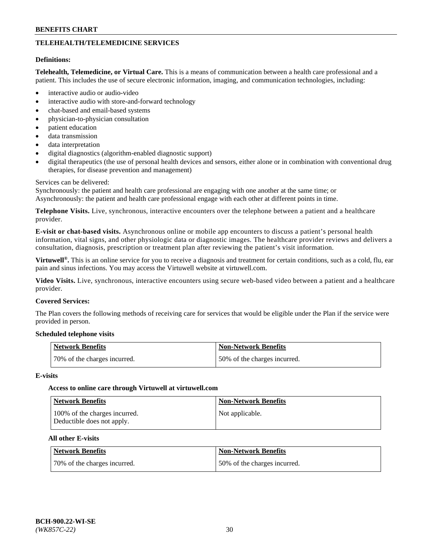## **TELEHEALTH/TELEMEDICINE SERVICES**

#### **Definitions:**

**Telehealth, Telemedicine, or Virtual Care.** This is a means of communication between a health care professional and a patient. This includes the use of secure electronic information, imaging, and communication technologies, including:

- interactive audio or audio-video
- interactive audio with store-and-forward technology
- chat-based and email-based systems
- physician-to-physician consultation
- patient education
- data transmission
- data interpretation
- digital diagnostics (algorithm-enabled diagnostic support)
- digital therapeutics (the use of personal health devices and sensors, either alone or in combination with conventional drug therapies, for disease prevention and management)

#### Services can be delivered:

Synchronously: the patient and health care professional are engaging with one another at the same time; or Asynchronously: the patient and health care professional engage with each other at different points in time.

**Telephone Visits.** Live, synchronous, interactive encounters over the telephone between a patient and a healthcare provider.

**E-visit or chat-based visits.** Asynchronous online or mobile app encounters to discuss a patient's personal health information, vital signs, and other physiologic data or diagnostic images. The healthcare provider reviews and delivers a consultation, diagnosis, prescription or treatment plan after reviewing the patient's visit information.

**Virtuwell®.** This is an online service for you to receive a diagnosis and treatment for certain conditions, such as a cold, flu, ear pain and sinus infections. You may access the Virtuwell website at [virtuwell.com.](https://www.virtuwell.com/)

**Video Visits.** Live, synchronous, interactive encounters using secure web-based video between a patient and a healthcare provider.

#### **Covered Services:**

The Plan covers the following methods of receiving care for services that would be eligible under the Plan if the service were provided in person.

#### **Scheduled telephone visits**

| Network Benefits             | Non-Network Benefits         |
|------------------------------|------------------------------|
| 70% of the charges incurred. | 50% of the charges incurred. |

#### **E-visits**

## **Access to online care through Virtuwell at [virtuwell.com](https://www.virtuwell.com/)**

| <b>Network Benefits</b>                                     | <b>Non-Network Benefits</b> |
|-------------------------------------------------------------|-----------------------------|
| 100% of the charges incurred.<br>Deductible does not apply. | Not applicable.             |

## **All other E-visits**

| Network Benefits             | <b>Non-Network Benefits</b>  |
|------------------------------|------------------------------|
| 70% of the charges incurred. | 50% of the charges incurred. |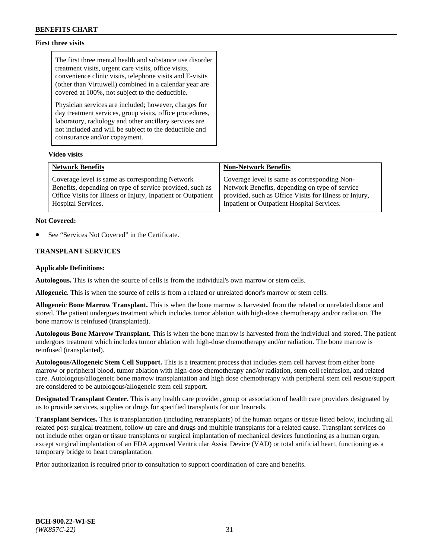## **First three visits**

The first three mental health and substance use disorder treatment visits, urgent care visits, office visits, convenience clinic visits, telephone visits and E-visits (other than Virtuwell) combined in a calendar year are covered at 100%, not subject to the deductible.

Physician services are included; however, charges for day treatment services, group visits, office procedures, laboratory, radiology and other ancillary services are not included and will be subject to the deductible and coinsurance and/or copayment.

## **Video visits**

| <b>Network Benefits</b>                                      | <b>Non-Network Benefits</b>                            |
|--------------------------------------------------------------|--------------------------------------------------------|
| Coverage level is same as corresponding Network              | Coverage level is same as corresponding Non-           |
| Benefits, depending on type of service provided, such as     | Network Benefits, depending on type of service         |
| Office Visits for Illness or Injury, Inpatient or Outpatient | provided, such as Office Visits for Illness or Injury, |
| Hospital Services.                                           | Inpatient or Outpatient Hospital Services.             |

#### **Not Covered:**

See "Services Not Covered" in the Certificate.

## **TRANSPLANT SERVICES**

#### **Applicable Definitions:**

**Autologous.** This is when the source of cells is from the individual's own marrow or stem cells.

**Allogeneic.** This is when the source of cells is from a related or unrelated donor's marrow or stem cells.

**Allogeneic Bone Marrow Transplant.** This is when the bone marrow is harvested from the related or unrelated donor and stored. The patient undergoes treatment which includes tumor ablation with high-dose chemotherapy and/or radiation. The bone marrow is reinfused (transplanted).

**Autologous Bone Marrow Transplant.** This is when the bone marrow is harvested from the individual and stored. The patient undergoes treatment which includes tumor ablation with high-dose chemotherapy and/or radiation. The bone marrow is reinfused (transplanted).

**Autologous/Allogeneic Stem Cell Support.** This is a treatment process that includes stem cell harvest from either bone marrow or peripheral blood, tumor ablation with high-dose chemotherapy and/or radiation, stem cell reinfusion, and related care. Autologous/allogeneic bone marrow transplantation and high dose chemotherapy with peripheral stem cell rescue/support are considered to be autologous/allogeneic stem cell support.

**Designated Transplant Center.** This is any health care provider, group or association of health care providers designated by us to provide services, supplies or drugs for specified transplants for our Insureds.

**Transplant Services.** This is transplantation (including retransplants) of the human organs or tissue listed below, including all related post-surgical treatment, follow-up care and drugs and multiple transplants for a related cause. Transplant services do not include other organ or tissue transplants or surgical implantation of mechanical devices functioning as a human organ, except surgical implantation of an FDA approved Ventricular Assist Device (VAD) or total artificial heart, functioning as a temporary bridge to heart transplantation.

Prior authorization is required prior to consultation to support coordination of care and benefits.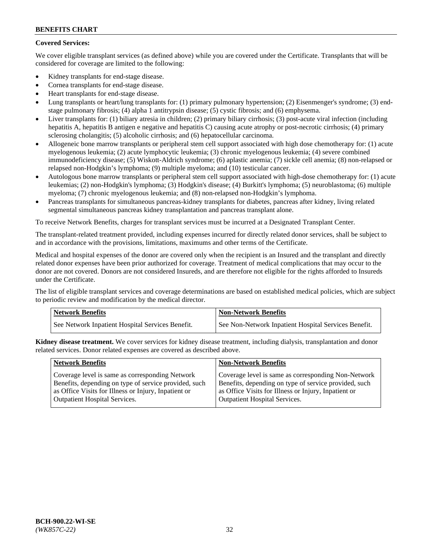## **Covered Services:**

We cover eligible transplant services (as defined above) while you are covered under the Certificate. Transplants that will be considered for coverage are limited to the following:

- Kidney transplants for end-stage disease.
- Cornea transplants for end-stage disease.
- Heart transplants for end-stage disease.
- Lung transplants or heart/lung transplants for: (1) primary pulmonary hypertension; (2) Eisenmenger's syndrome; (3) endstage pulmonary fibrosis; (4) alpha 1 antitrypsin disease; (5) cystic fibrosis; and (6) emphysema.
- Liver transplants for: (1) biliary atresia in children; (2) primary biliary cirrhosis; (3) post-acute viral infection (including hepatitis A, hepatitis B antigen e negative and hepatitis C) causing acute atrophy or post-necrotic cirrhosis; (4) primary sclerosing cholangitis; (5) alcoholic cirrhosis; and (6) hepatocellular carcinoma.
- Allogeneic bone marrow transplants or peripheral stem cell support associated with high dose chemotherapy for: (1) acute myelogenous leukemia; (2) acute lymphocytic leukemia; (3) chronic myelogenous leukemia; (4) severe combined immunodeficiency disease; (5) Wiskott-Aldrich syndrome; (6) aplastic anemia; (7) sickle cell anemia; (8) non-relapsed or relapsed non-Hodgkin's lymphoma; (9) multiple myeloma; and (10) testicular cancer.
- Autologous bone marrow transplants or peripheral stem cell support associated with high-dose chemotherapy for: (1) acute leukemias; (2) non-Hodgkin's lymphoma; (3) Hodgkin's disease; (4) Burkitt's lymphoma; (5) neuroblastoma; (6) multiple myeloma; (7) chronic myelogenous leukemia; and (8) non-relapsed non-Hodgkin's lymphoma.
- Pancreas transplants for simultaneous pancreas-kidney transplants for diabetes, pancreas after kidney, living related segmental simultaneous pancreas kidney transplantation and pancreas transplant alone.

To receive Network Benefits, charges for transplant services must be incurred at a Designated Transplant Center.

The transplant-related treatment provided, including expenses incurred for directly related donor services, shall be subject to and in accordance with the provisions, limitations, maximums and other terms of the Certificate.

Medical and hospital expenses of the donor are covered only when the recipient is an Insured and the transplant and directly related donor expenses have been prior authorized for coverage. Treatment of medical complications that may occur to the donor are not covered. Donors are not considered Insureds, and are therefore not eligible for the rights afforded to Insureds under the Certificate.

The list of eligible transplant services and coverage determinations are based on established medical policies, which are subject to periodic review and modification by the medical director.

| <b>Network Benefits</b>                          | <b>Non-Network Benefits</b>                          |
|--------------------------------------------------|------------------------------------------------------|
| See Network Inpatient Hospital Services Benefit. | See Non-Network Inpatient Hospital Services Benefit. |

**Kidney disease treatment.** We cover services for kidney disease treatment, including dialysis, transplantation and donor related services. Donor related expenses are covered as described above.

| <b>Network Benefits</b>                               | <b>Non-Network Benefits</b>                           |
|-------------------------------------------------------|-------------------------------------------------------|
| Coverage level is same as corresponding Network       | Coverage level is same as corresponding Non-Network   |
| Benefits, depending on type of service provided, such | Benefits, depending on type of service provided, such |
| as Office Visits for Illness or Injury, Inpatient or  | as Office Visits for Illness or Injury, Inpatient or  |
| <b>Outpatient Hospital Services.</b>                  | <b>Outpatient Hospital Services.</b>                  |